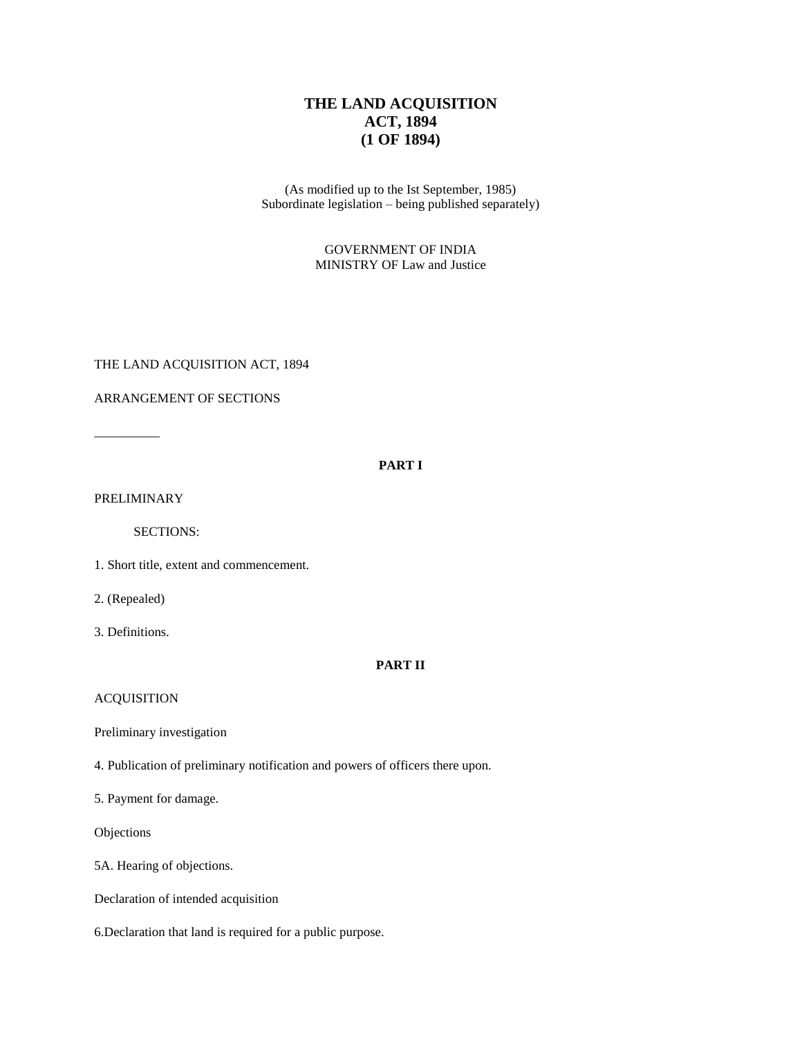# **THE LAND ACQUISITION ACT, 1894 (1 OF 1894)**

(As modified up to the Ist September, 1985) Subordinate legislation – being published separately)

> GOVERNMENT OF INDIA MINISTRY OF Law and Justice

THE LAND ACQUISITION ACT, 1894

ARRANGEMENT OF SECTIONS

 $\overline{\phantom{a}}$ 

## **PART I**

PRELIMINARY

SECTIONS:

1. Short title, extent and commencement.

2. (Repealed)

3. Definitions.

## **PART II**

## ACQUISITION

Preliminary investigation

4. Publication of preliminary notification and powers of officers there upon.

5. Payment for damage.

Objections

5A. Hearing of objections.

Declaration of intended acquisition

6.Declaration that land is required for a public purpose.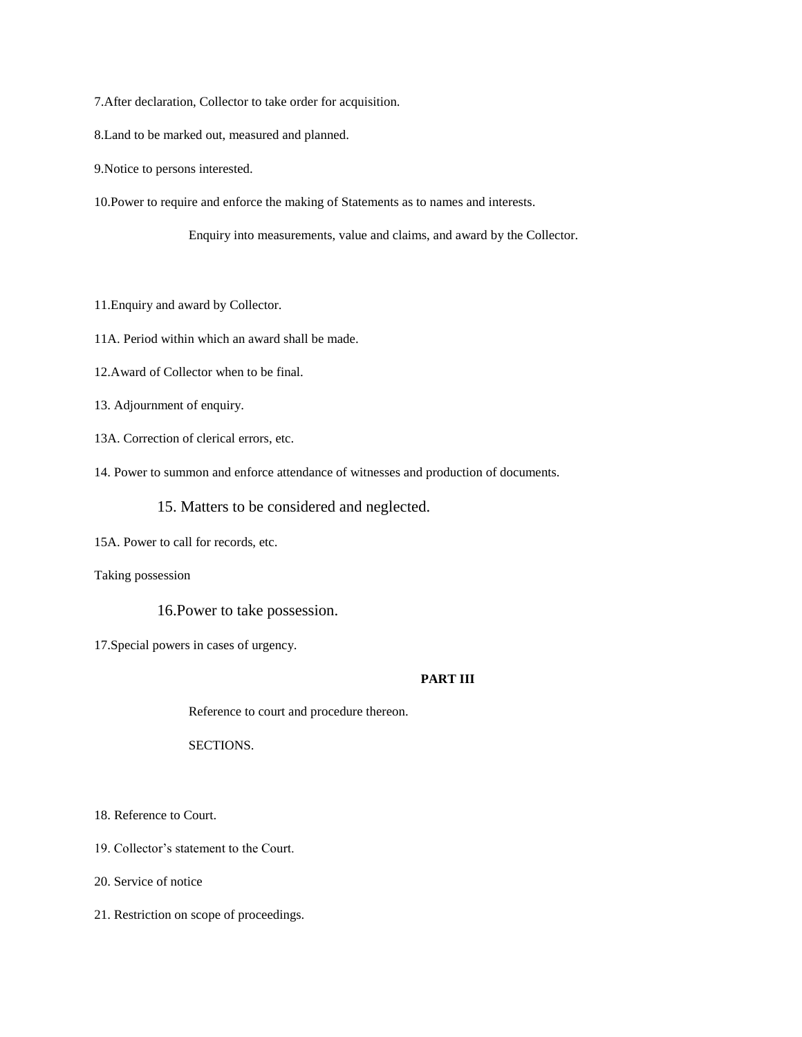7.After declaration, Collector to take order for acquisition.

8.Land to be marked out, measured and planned.

9.Notice to persons interested.

10.Power to require and enforce the making of Statements as to names and interests.

Enquiry into measurements, value and claims, and award by the Collector.

11.Enquiry and award by Collector.

11A. Period within which an award shall be made.

12.Award of Collector when to be final.

13. Adjournment of enquiry.

13A. Correction of clerical errors, etc.

14. Power to summon and enforce attendance of witnesses and production of documents.

15. Matters to be considered and neglected.

15A. Power to call for records, etc.

Taking possession

16.Power to take possession.

17.Special powers in cases of urgency.

## **PART III**

Reference to court and procedure thereon.

SECTIONS.

18. Reference to Court.

19. Collector's statement to the Court.

20. Service of notice

21. Restriction on scope of proceedings.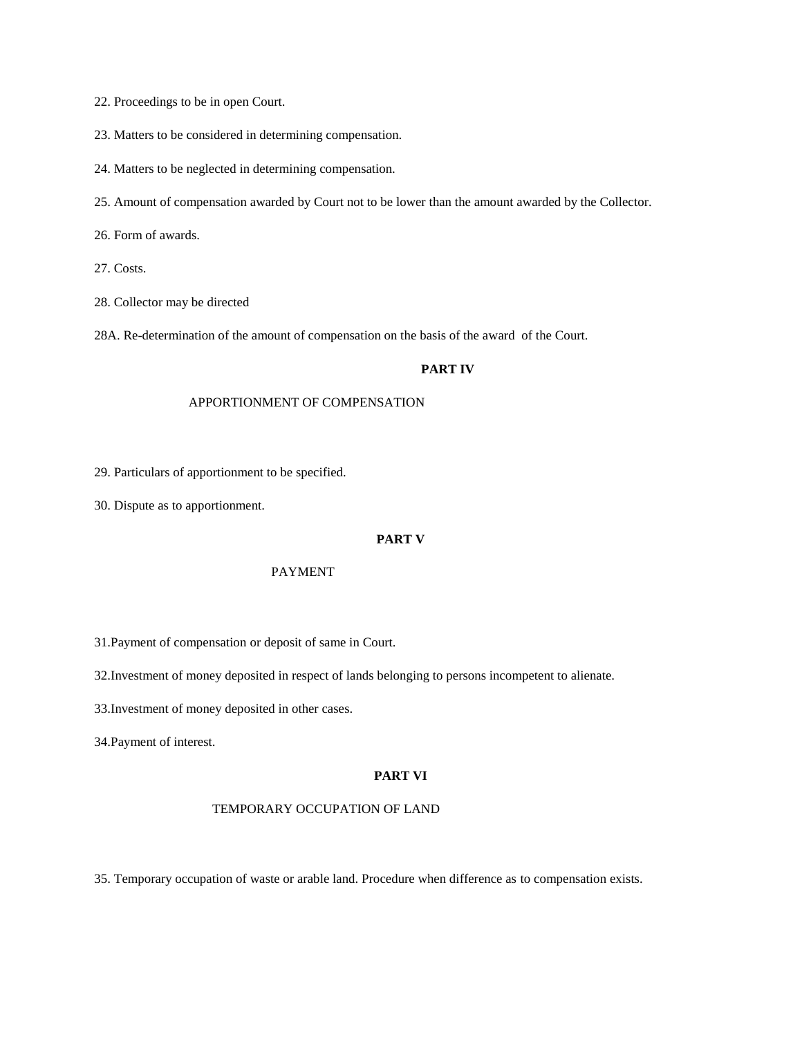22. Proceedings to be in open Court.

- 23. Matters to be considered in determining compensation.
- 24. Matters to be neglected in determining compensation.
- 25. Amount of compensation awarded by Court not to be lower than the amount awarded by the Collector.

26. Form of awards.

27. Costs.

28. Collector may be directed

28A. Re-determination of the amount of compensation on the basis of the award of the Court.

#### **PART IV**

#### APPORTIONMENT OF COMPENSATION

29. Particulars of apportionment to be specified.

30. Dispute as to apportionment.

#### **PART V**

#### PAYMENT

31.Payment of compensation or deposit of same in Court.

32.Investment of money deposited in respect of lands belonging to persons incompetent to alienate.

33.Investment of money deposited in other cases.

34.Payment of interest.

#### **PART VI**

#### TEMPORARY OCCUPATION OF LAND

35. Temporary occupation of waste or arable land. Procedure when difference as to compensation exists.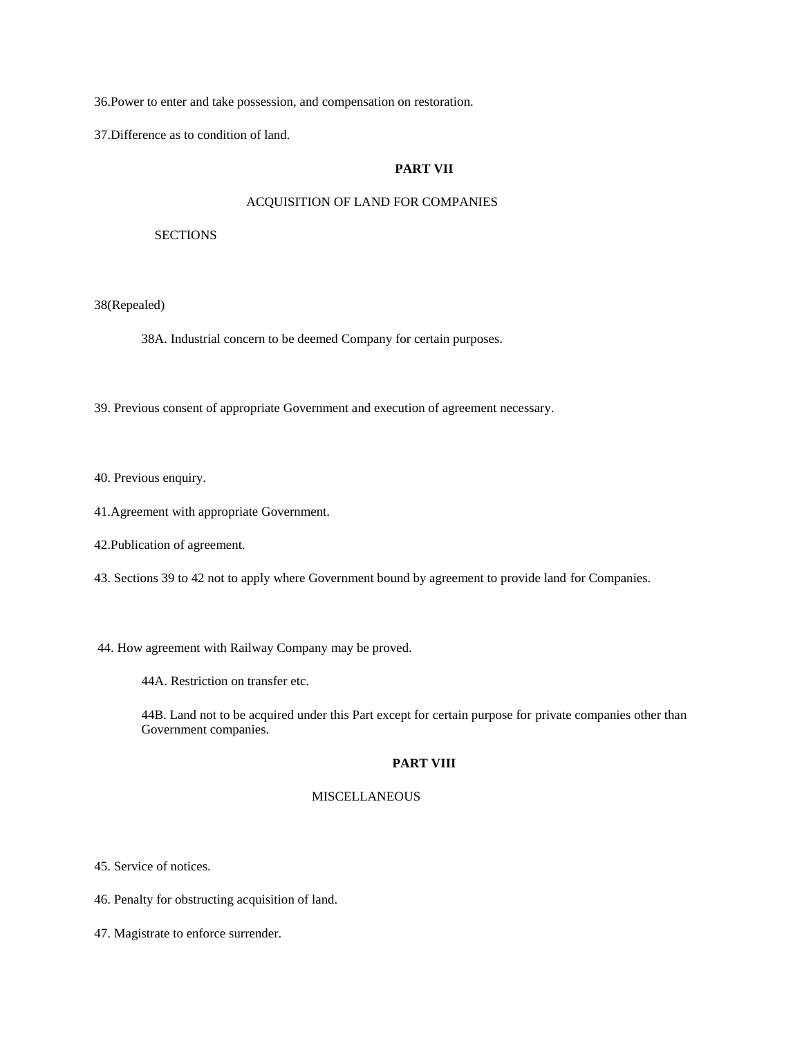36.Power to enter and take possession, and compensation on restoration.

37.Difference as to condition of land.

## **PART VII**

## ACQUISITION OF LAND FOR COMPANIES

#### **SECTIONS**

38(Repealed)

38A. Industrial concern to be deemed Company for certain purposes.

39. Previous consent of appropriate Government and execution of agreement necessary.

40. Previous enquiry.

- 41.Agreement with appropriate Government.
- 42.Publication of agreement.
- 43. Sections 39 to 42 not to apply where Government bound by agreement to provide land for Companies.
- 44. How agreement with Railway Company may be proved.
	- 44A. Restriction on transfer etc.

44B. Land not to be acquired under this Part except for certain purpose for private companies other than Government companies.

## **PART VIII**

### MISCELLANEOUS

45. Service of notices.

46. Penalty for obstructing acquisition of land.

47. Magistrate to enforce surrender.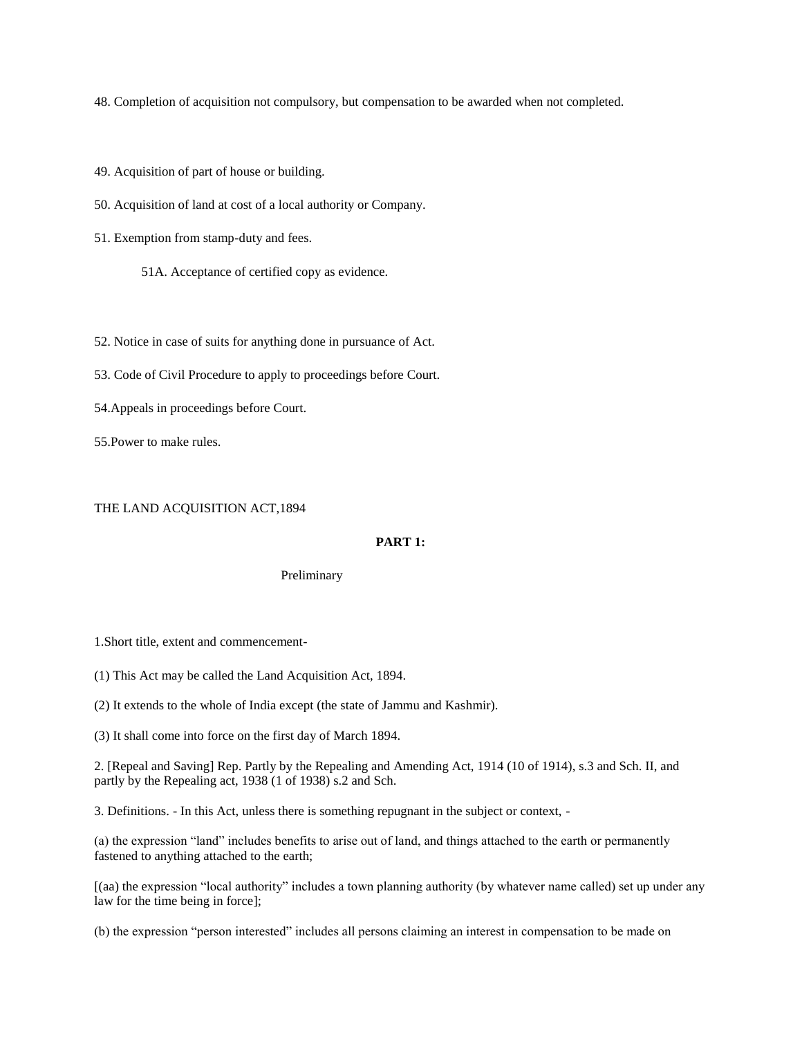48. Completion of acquisition not compulsory, but compensation to be awarded when not completed.

49. Acquisition of part of house or building.

50. Acquisition of land at cost of a local authority or Company.

51. Exemption from stamp-duty and fees.

51A. Acceptance of certified copy as evidence.

52. Notice in case of suits for anything done in pursuance of Act.

53. Code of Civil Procedure to apply to proceedings before Court.

54.Appeals in proceedings before Court.

55.Power to make rules.

#### THE LAND ACQUISITION ACT,1894

#### **PART 1:**

Preliminary

1.Short title, extent and commencement-

(1) This Act may be called the Land Acquisition Act, 1894.

(2) It extends to the whole of India except (the state of Jammu and Kashmir).

(3) It shall come into force on the first day of March 1894.

2. [Repeal and Saving] Rep. Partly by the Repealing and Amending Act, 1914 (10 of 1914), s.3 and Sch. II, and partly by the Repealing act, 1938 (1 of 1938) s.2 and Sch.

3. Definitions. - In this Act, unless there is something repugnant in the subject or context, -

(a) the expression "land" includes benefits to arise out of land, and things attached to the earth or permanently fastened to anything attached to the earth;

[(aa) the expression "local authority" includes a town planning authority (by whatever name called) set up under any law for the time being in force];

(b) the expression "person interested" includes all persons claiming an interest in compensation to be made on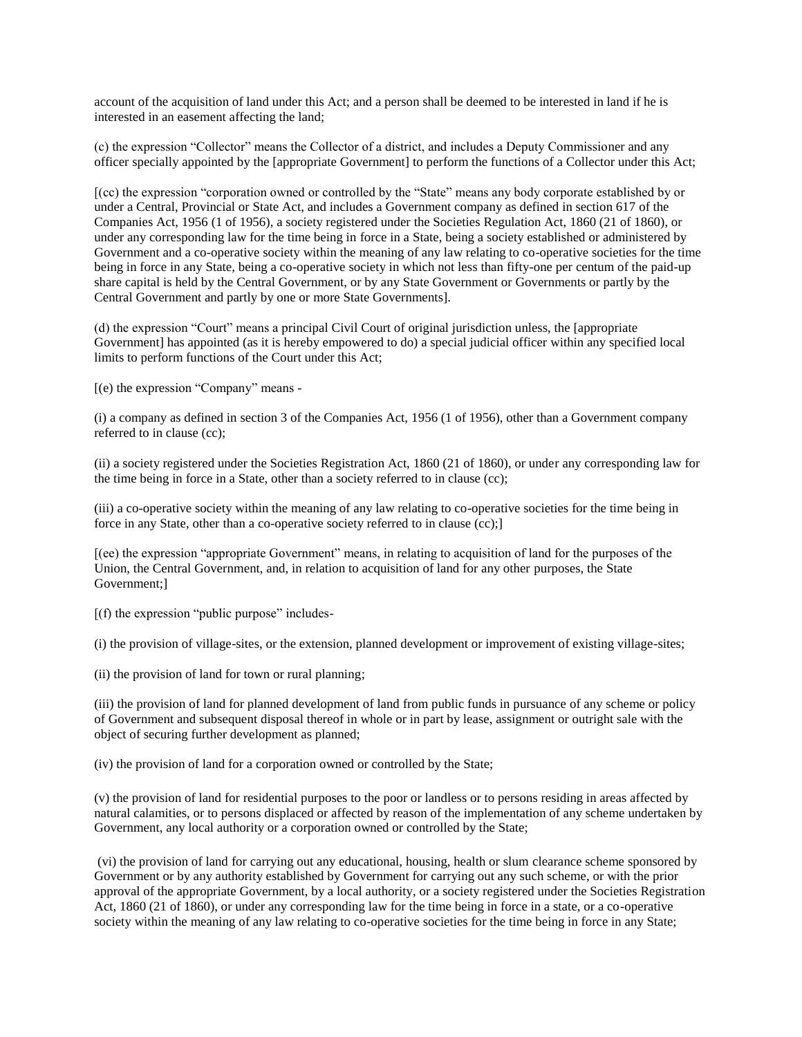account of the acquisition of land under this Act; and a person shall be deemed to be interested in land if he is interested in an easement affecting the land;

(c) the expression "Collector" means the Collector of a district, and includes a Deputy Commissioner and any officer specially appointed by the [appropriate Government] to perform the functions of a Collector under this Act;

[(cc) the expression "corporation owned or controlled by the "State" means any body corporate established by or under a Central, Provincial or State Act, and includes a Government company as defined in section 617 of the Companies Act, 1956 (1 of 1956), a society registered under the Societies Regulation Act, 1860 (21 of 1860), or under any corresponding law for the time being in force in a State, being a society established or administered by Government and a co-operative society within the meaning of any law relating to co-operative societies for the time being in force in any State, being a co-operative society in which not less than fifty-one per centum of the paid-up share capital is held by the Central Government, or by any State Government or Governments or partly by the Central Government and partly by one or more State Governments].

(d) the expression "Court" means a principal Civil Court of original jurisdiction unless, the [appropriate Government] has appointed (as it is hereby empowered to do) a special judicial officer within any specified local limits to perform functions of the Court under this Act;

[(e) the expression "Company" means -

(i) a company as defined in section 3 of the Companies Act, 1956 (1 of 1956), other than a Government company referred to in clause (cc);

(ii) a society registered under the Societies Registration Act, 1860 (21 of 1860), or under any corresponding law for the time being in force in a State, other than a society referred to in clause (cc);

(iii) a co-operative society within the meaning of any law relating to co-operative societies for the time being in force in any State, other than a co-operative society referred to in clause (cc);]

[(ee) the expression "appropriate Government" means, in relating to acquisition of land for the purposes of the Union, the Central Government, and, in relation to acquisition of land for any other purposes, the State Government;]

 $[(f)$  the expression "public purpose" includes-

(i) the provision of village-sites, or the extension, planned development or improvement of existing village-sites;

(ii) the provision of land for town or rural planning;

(iii) the provision of land for planned development of land from public funds in pursuance of any scheme or policy of Government and subsequent disposal thereof in whole or in part by lease, assignment or outright sale with the object of securing further development as planned;

(iv) the provision of land for a corporation owned or controlled by the State;

(v) the provision of land for residential purposes to the poor or landless or to persons residing in areas affected by natural calamities, or to persons displaced or affected by reason of the implementation of any scheme undertaken by Government, any local authority or a corporation owned or controlled by the State;

(vi) the provision of land for carrying out any educational, housing, health or slum clearance scheme sponsored by Government or by any authority established by Government for carrying out any such scheme, or with the prior approval of the appropriate Government, by a local authority, or a society registered under the Societies Registration Act, 1860 (21 of 1860), or under any corresponding law for the time being in force in a state, or a co-operative society within the meaning of any law relating to co-operative societies for the time being in force in any State;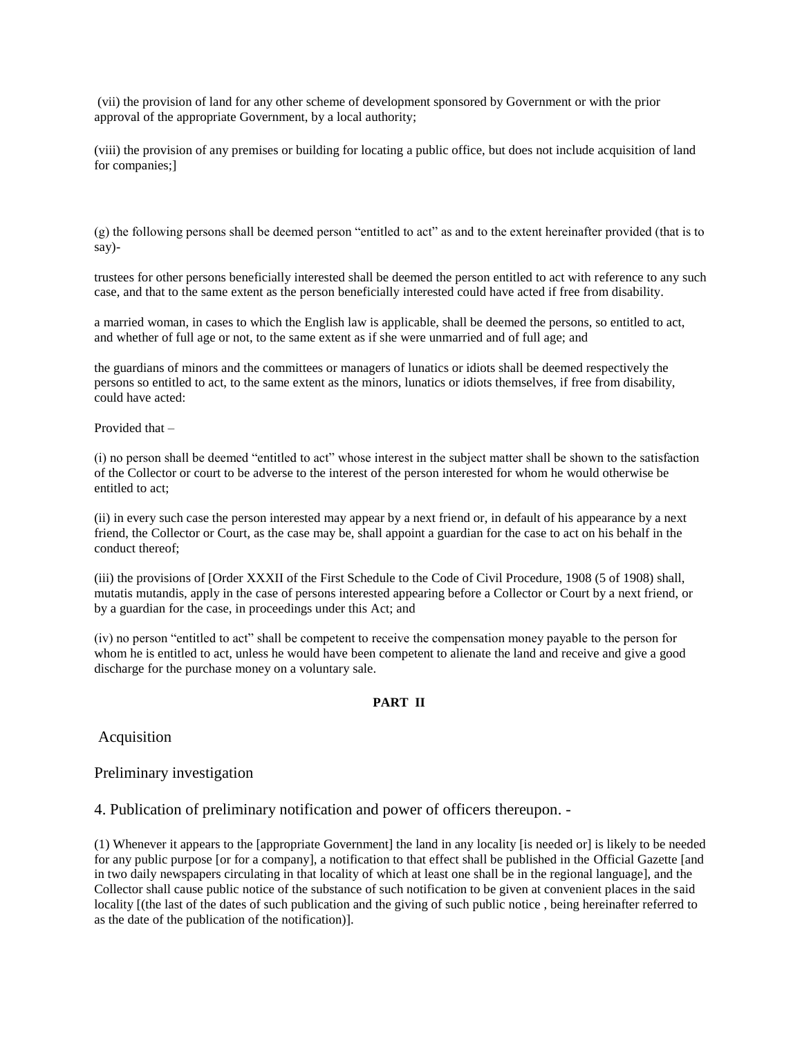(vii) the provision of land for any other scheme of development sponsored by Government or with the prior approval of the appropriate Government, by a local authority;

(viii) the provision of any premises or building for locating a public office, but does not include acquisition of land for companies;]

(g) the following persons shall be deemed person "entitled to act" as and to the extent hereinafter provided (that is to say)-

trustees for other persons beneficially interested shall be deemed the person entitled to act with reference to any such case, and that to the same extent as the person beneficially interested could have acted if free from disability.

a married woman, in cases to which the English law is applicable, shall be deemed the persons, so entitled to act, and whether of full age or not, to the same extent as if she were unmarried and of full age; and

the guardians of minors and the committees or managers of lunatics or idiots shall be deemed respectively the persons so entitled to act, to the same extent as the minors, lunatics or idiots themselves, if free from disability, could have acted:

Provided that –

(i) no person shall be deemed "entitled to act" whose interest in the subject matter shall be shown to the satisfaction of the Collector or court to be adverse to the interest of the person interested for whom he would otherwise be entitled to act;

(ii) in every such case the person interested may appear by a next friend or, in default of his appearance by a next friend, the Collector or Court, as the case may be, shall appoint a guardian for the case to act on his behalf in the conduct thereof;

(iii) the provisions of [Order XXXII of the First Schedule to the Code of Civil Procedure, 1908 (5 of 1908) shall, mutatis mutandis, apply in the case of persons interested appearing before a Collector or Court by a next friend, or by a guardian for the case, in proceedings under this Act; and

(iv) no person "entitled to act" shall be competent to receive the compensation money payable to the person for whom he is entitled to act, unless he would have been competent to alienate the land and receive and give a good discharge for the purchase money on a voluntary sale.

### **PART II**

Acquisition

### Preliminary investigation

4. Publication of preliminary notification and power of officers thereupon. -

(1) Whenever it appears to the [appropriate Government] the land in any locality [is needed or] is likely to be needed for any public purpose [or for a company], a notification to that effect shall be published in the Official Gazette [and in two daily newspapers circulating in that locality of which at least one shall be in the regional language], and the Collector shall cause public notice of the substance of such notification to be given at convenient places in the said locality [(the last of the dates of such publication and the giving of such public notice , being hereinafter referred to as the date of the publication of the notification)].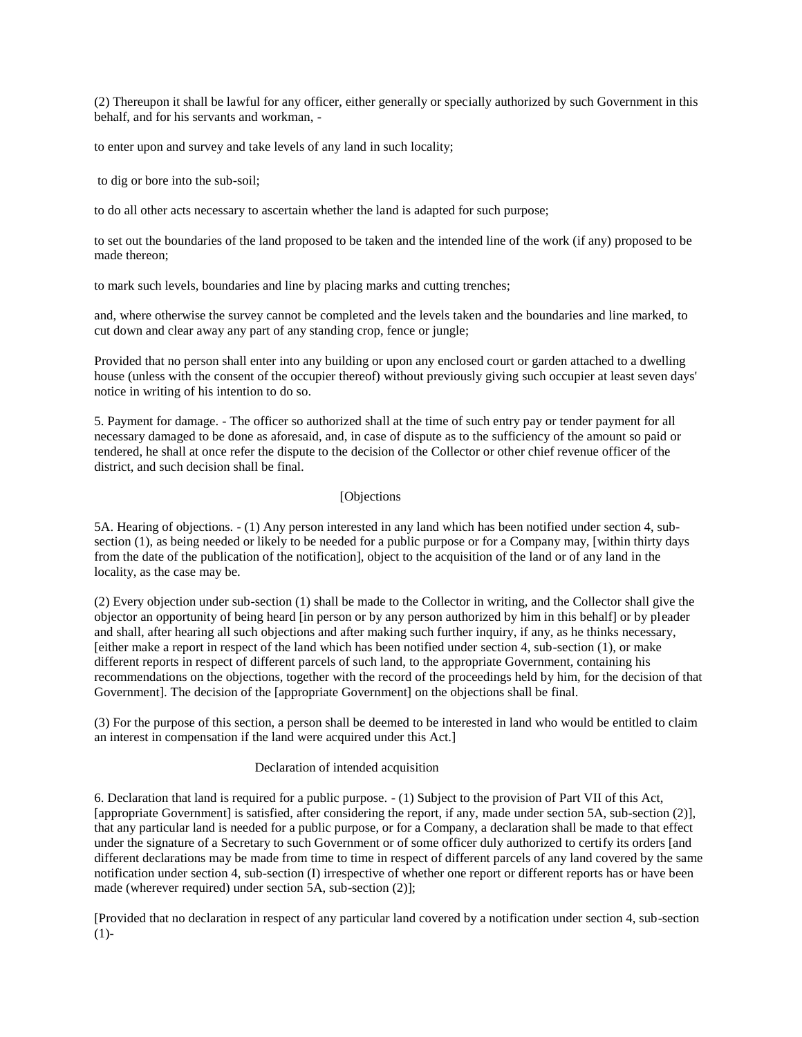(2) Thereupon it shall be lawful for any officer, either generally or specially authorized by such Government in this behalf, and for his servants and workman, -

to enter upon and survey and take levels of any land in such locality;

to dig or bore into the sub-soil;

to do all other acts necessary to ascertain whether the land is adapted for such purpose;

to set out the boundaries of the land proposed to be taken and the intended line of the work (if any) proposed to be made thereon;

to mark such levels, boundaries and line by placing marks and cutting trenches;

and, where otherwise the survey cannot be completed and the levels taken and the boundaries and line marked, to cut down and clear away any part of any standing crop, fence or jungle;

Provided that no person shall enter into any building or upon any enclosed court or garden attached to a dwelling house (unless with the consent of the occupier thereof) without previously giving such occupier at least seven days' notice in writing of his intention to do so.

5. Payment for damage. - The officer so authorized shall at the time of such entry pay or tender payment for all necessary damaged to be done as aforesaid, and, in case of dispute as to the sufficiency of the amount so paid or tendered, he shall at once refer the dispute to the decision of the Collector or other chief revenue officer of the district, and such decision shall be final.

#### [Objections

5A. Hearing of objections. - (1) Any person interested in any land which has been notified under section 4, subsection (1), as being needed or likely to be needed for a public purpose or for a Company may, [within thirty days from the date of the publication of the notification], object to the acquisition of the land or of any land in the locality, as the case may be.

(2) Every objection under sub-section (1) shall be made to the Collector in writing, and the Collector shall give the objector an opportunity of being heard [in person or by any person authorized by him in this behalf] or by pleader and shall, after hearing all such objections and after making such further inquiry, if any, as he thinks necessary, [either make a report in respect of the land which has been notified under section 4, sub-section (1), or make different reports in respect of different parcels of such land, to the appropriate Government, containing his recommendations on the objections, together with the record of the proceedings held by him, for the decision of that Government]. The decision of the [appropriate Government] on the objections shall be final.

(3) For the purpose of this section, a person shall be deemed to be interested in land who would be entitled to claim an interest in compensation if the land were acquired under this Act.]

### Declaration of intended acquisition

6. Declaration that land is required for a public purpose. - (1) Subject to the provision of Part VII of this Act, [appropriate Government] is satisfied, after considering the report, if any, made under section 5A, sub-section (2)], that any particular land is needed for a public purpose, or for a Company, a declaration shall be made to that effect under the signature of a Secretary to such Government or of some officer duly authorized to certify its orders [and different declarations may be made from time to time in respect of different parcels of any land covered by the same notification under section 4, sub-section (I) irrespective of whether one report or different reports has or have been made (wherever required) under section 5A, sub-section (2)];

[Provided that no declaration in respect of any particular land covered by a notification under section 4, sub-section  $(1)$ -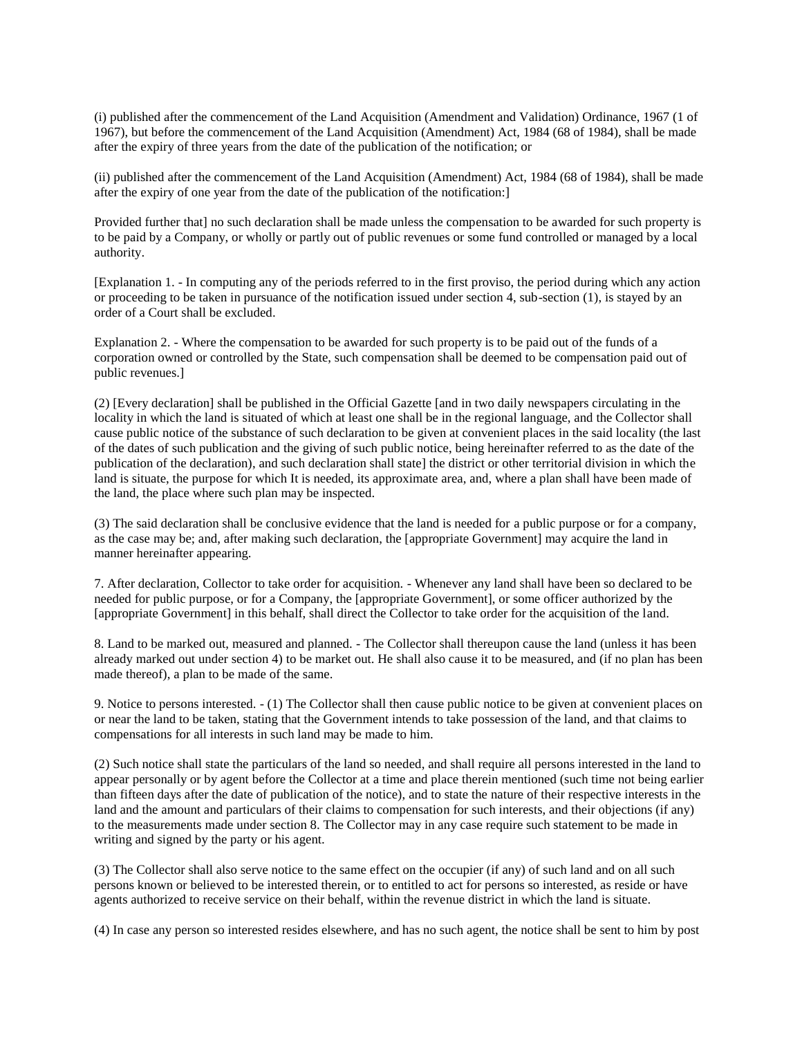(i) published after the commencement of the Land Acquisition (Amendment and Validation) Ordinance, 1967 (1 of 1967), but before the commencement of the Land Acquisition (Amendment) Act, 1984 (68 of 1984), shall be made after the expiry of three years from the date of the publication of the notification; or

(ii) published after the commencement of the Land Acquisition (Amendment) Act, 1984 (68 of 1984), shall be made after the expiry of one year from the date of the publication of the notification:]

Provided further that] no such declaration shall be made unless the compensation to be awarded for such property is to be paid by a Company, or wholly or partly out of public revenues or some fund controlled or managed by a local authority.

[Explanation 1. - In computing any of the periods referred to in the first proviso, the period during which any action or proceeding to be taken in pursuance of the notification issued under section 4, sub-section (1), is stayed by an order of a Court shall be excluded.

Explanation 2. - Where the compensation to be awarded for such property is to be paid out of the funds of a corporation owned or controlled by the State, such compensation shall be deemed to be compensation paid out of public revenues.]

(2) [Every declaration] shall be published in the Official Gazette [and in two daily newspapers circulating in the locality in which the land is situated of which at least one shall be in the regional language, and the Collector shall cause public notice of the substance of such declaration to be given at convenient places in the said locality (the last of the dates of such publication and the giving of such public notice, being hereinafter referred to as the date of the publication of the declaration), and such declaration shall state] the district or other territorial division in which the land is situate, the purpose for which It is needed, its approximate area, and, where a plan shall have been made of the land, the place where such plan may be inspected.

(3) The said declaration shall be conclusive evidence that the land is needed for a public purpose or for a company, as the case may be; and, after making such declaration, the [appropriate Government] may acquire the land in manner hereinafter appearing.

7. After declaration, Collector to take order for acquisition. - Whenever any land shall have been so declared to be needed for public purpose, or for a Company, the [appropriate Government], or some officer authorized by the [appropriate Government] in this behalf, shall direct the Collector to take order for the acquisition of the land.

8. Land to be marked out, measured and planned. - The Collector shall thereupon cause the land (unless it has been already marked out under section 4) to be market out. He shall also cause it to be measured, and (if no plan has been made thereof), a plan to be made of the same.

9. Notice to persons interested. - (1) The Collector shall then cause public notice to be given at convenient places on or near the land to be taken, stating that the Government intends to take possession of the land, and that claims to compensations for all interests in such land may be made to him.

(2) Such notice shall state the particulars of the land so needed, and shall require all persons interested in the land to appear personally or by agent before the Collector at a time and place therein mentioned (such time not being earlier than fifteen days after the date of publication of the notice), and to state the nature of their respective interests in the land and the amount and particulars of their claims to compensation for such interests, and their objections (if any) to the measurements made under section 8. The Collector may in any case require such statement to be made in writing and signed by the party or his agent.

(3) The Collector shall also serve notice to the same effect on the occupier (if any) of such land and on all such persons known or believed to be interested therein, or to entitled to act for persons so interested, as reside or have agents authorized to receive service on their behalf, within the revenue district in which the land is situate.

(4) In case any person so interested resides elsewhere, and has no such agent, the notice shall be sent to him by post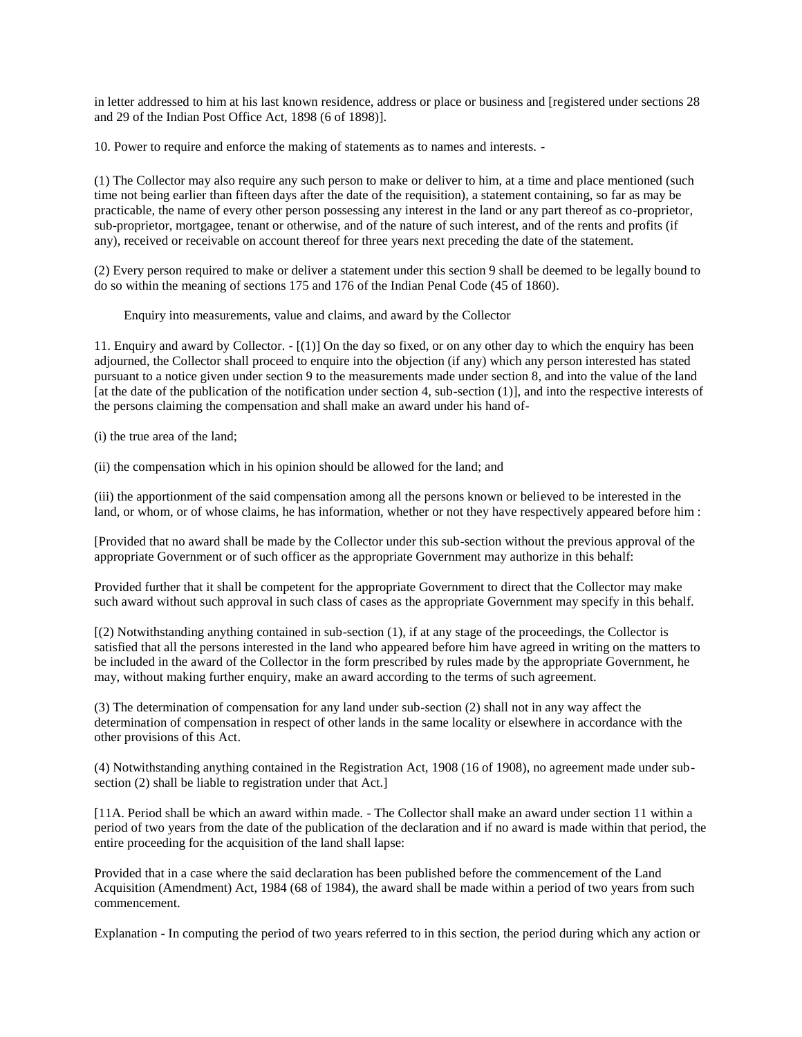in letter addressed to him at his last known residence, address or place or business and [registered under sections 28 and 29 of the Indian Post Office Act, 1898 (6 of 1898)].

10. Power to require and enforce the making of statements as to names and interests. -

(1) The Collector may also require any such person to make or deliver to him, at a time and place mentioned (such time not being earlier than fifteen days after the date of the requisition), a statement containing, so far as may be practicable, the name of every other person possessing any interest in the land or any part thereof as co-proprietor, sub-proprietor, mortgagee, tenant or otherwise, and of the nature of such interest, and of the rents and profits (if any), received or receivable on account thereof for three years next preceding the date of the statement.

(2) Every person required to make or deliver a statement under this section 9 shall be deemed to be legally bound to do so within the meaning of sections 175 and 176 of the Indian Penal Code (45 of 1860).

Enquiry into measurements, value and claims, and award by the Collector

11. Enquiry and award by Collector. - [(1)] On the day so fixed, or on any other day to which the enquiry has been adjourned, the Collector shall proceed to enquire into the objection (if any) which any person interested has stated pursuant to a notice given under section 9 to the measurements made under section 8, and into the value of the land [at the date of the publication of the notification under section 4, sub-section (1)], and into the respective interests of the persons claiming the compensation and shall make an award under his hand of-

(i) the true area of the land;

(ii) the compensation which in his opinion should be allowed for the land; and

(iii) the apportionment of the said compensation among all the persons known or believed to be interested in the land, or whom, or of whose claims, he has information, whether or not they have respectively appeared before him :

[Provided that no award shall be made by the Collector under this sub-section without the previous approval of the appropriate Government or of such officer as the appropriate Government may authorize in this behalf:

Provided further that it shall be competent for the appropriate Government to direct that the Collector may make such award without such approval in such class of cases as the appropriate Government may specify in this behalf.

[(2) Notwithstanding anything contained in sub-section (1), if at any stage of the proceedings, the Collector is satisfied that all the persons interested in the land who appeared before him have agreed in writing on the matters to be included in the award of the Collector in the form prescribed by rules made by the appropriate Government, he may, without making further enquiry, make an award according to the terms of such agreement.

(3) The determination of compensation for any land under sub-section (2) shall not in any way affect the determination of compensation in respect of other lands in the same locality or elsewhere in accordance with the other provisions of this Act.

(4) Notwithstanding anything contained in the Registration Act, 1908 (16 of 1908), no agreement made under subsection (2) shall be liable to registration under that Act.]

[11A. Period shall be which an award within made. - The Collector shall make an award under section 11 within a period of two years from the date of the publication of the declaration and if no award is made within that period, the entire proceeding for the acquisition of the land shall lapse:

Provided that in a case where the said declaration has been published before the commencement of the Land Acquisition (Amendment) Act, 1984 (68 of 1984), the award shall be made within a period of two years from such commencement.

Explanation - In computing the period of two years referred to in this section, the period during which any action or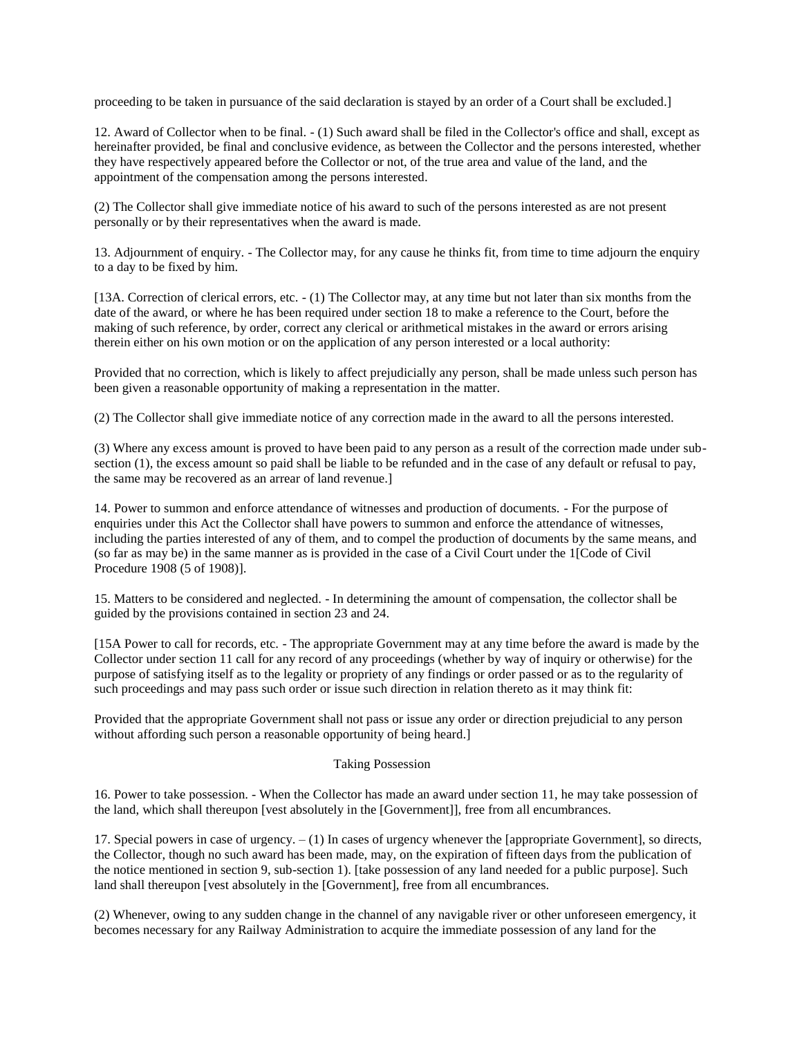proceeding to be taken in pursuance of the said declaration is stayed by an order of a Court shall be excluded.]

12. Award of Collector when to be final. - (1) Such award shall be filed in the Collector's office and shall, except as hereinafter provided, be final and conclusive evidence, as between the Collector and the persons interested, whether they have respectively appeared before the Collector or not, of the true area and value of the land, and the appointment of the compensation among the persons interested.

(2) The Collector shall give immediate notice of his award to such of the persons interested as are not present personally or by their representatives when the award is made.

13. Adjournment of enquiry. - The Collector may, for any cause he thinks fit, from time to time adjourn the enquiry to a day to be fixed by him.

[13A. Correction of clerical errors, etc. - (1) The Collector may, at any time but not later than six months from the date of the award, or where he has been required under section 18 to make a reference to the Court, before the making of such reference, by order, correct any clerical or arithmetical mistakes in the award or errors arising therein either on his own motion or on the application of any person interested or a local authority:

Provided that no correction, which is likely to affect prejudicially any person, shall be made unless such person has been given a reasonable opportunity of making a representation in the matter.

(2) The Collector shall give immediate notice of any correction made in the award to all the persons interested.

(3) Where any excess amount is proved to have been paid to any person as a result of the correction made under subsection (1), the excess amount so paid shall be liable to be refunded and in the case of any default or refusal to pay, the same may be recovered as an arrear of land revenue.]

14. Power to summon and enforce attendance of witnesses and production of documents. - For the purpose of enquiries under this Act the Collector shall have powers to summon and enforce the attendance of witnesses, including the parties interested of any of them, and to compel the production of documents by the same means, and (so far as may be) in the same manner as is provided in the case of a Civil Court under the 1[Code of Civil Procedure 1908 (5 of 1908)].

15. Matters to be considered and neglected. - In determining the amount of compensation, the collector shall be guided by the provisions contained in section 23 and 24.

[15A Power to call for records, etc. - The appropriate Government may at any time before the award is made by the Collector under section 11 call for any record of any proceedings (whether by way of inquiry or otherwise) for the purpose of satisfying itself as to the legality or propriety of any findings or order passed or as to the regularity of such proceedings and may pass such order or issue such direction in relation thereto as it may think fit:

Provided that the appropriate Government shall not pass or issue any order or direction prejudicial to any person without affording such person a reasonable opportunity of being heard.]

### Taking Possession

16. Power to take possession. - When the Collector has made an award under section 11, he may take possession of the land, which shall thereupon [vest absolutely in the [Government]], free from all encumbrances.

17. Special powers in case of urgency. – (1) In cases of urgency whenever the [appropriate Government], so directs, the Collector, though no such award has been made, may, on the expiration of fifteen days from the publication of the notice mentioned in section 9, sub-section 1). [take possession of any land needed for a public purpose]. Such land shall thereupon [vest absolutely in the [Government], free from all encumbrances.

(2) Whenever, owing to any sudden change in the channel of any navigable river or other unforeseen emergency, it becomes necessary for any Railway Administration to acquire the immediate possession of any land for the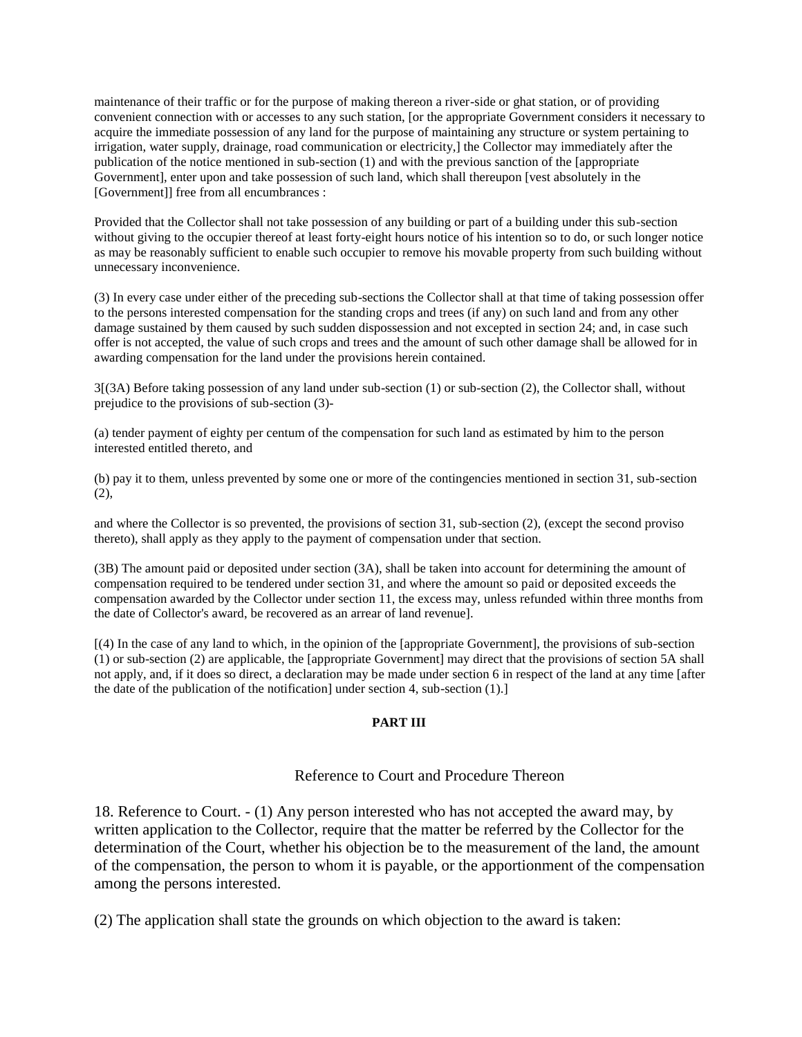maintenance of their traffic or for the purpose of making thereon a river-side or ghat station, or of providing convenient connection with or accesses to any such station, [or the appropriate Government considers it necessary to acquire the immediate possession of any land for the purpose of maintaining any structure or system pertaining to irrigation, water supply, drainage, road communication or electricity,] the Collector may immediately after the publication of the notice mentioned in sub-section (1) and with the previous sanction of the [appropriate Government], enter upon and take possession of such land, which shall thereupon [vest absolutely in the [Government]] free from all encumbrances :

Provided that the Collector shall not take possession of any building or part of a building under this sub-section without giving to the occupier thereof at least forty-eight hours notice of his intention so to do, or such longer notice as may be reasonably sufficient to enable such occupier to remove his movable property from such building without unnecessary inconvenience.

(3) In every case under either of the preceding sub-sections the Collector shall at that time of taking possession offer to the persons interested compensation for the standing crops and trees (if any) on such land and from any other damage sustained by them caused by such sudden dispossession and not excepted in section 24; and, in case such offer is not accepted, the value of such crops and trees and the amount of such other damage shall be allowed for in awarding compensation for the land under the provisions herein contained.

3[(3A) Before taking possession of any land under sub-section (1) or sub-section (2), the Collector shall, without prejudice to the provisions of sub-section (3)-

(a) tender payment of eighty per centum of the compensation for such land as estimated by him to the person interested entitled thereto, and

(b) pay it to them, unless prevented by some one or more of the contingencies mentioned in section 31, sub-section  $(2)$ ,

and where the Collector is so prevented, the provisions of section 31, sub-section (2), (except the second proviso thereto), shall apply as they apply to the payment of compensation under that section.

(3B) The amount paid or deposited under section (3A), shall be taken into account for determining the amount of compensation required to be tendered under section 31, and where the amount so paid or deposited exceeds the compensation awarded by the Collector under section 11, the excess may, unless refunded within three months from the date of Collector's award, be recovered as an arrear of land revenue].

[(4) In the case of any land to which, in the opinion of the [appropriate Government], the provisions of sub-section (1) or sub-section (2) are applicable, the [appropriate Government] may direct that the provisions of section 5A shall not apply, and, if it does so direct, a declaration may be made under section 6 in respect of the land at any time [after the date of the publication of the notification] under section 4, sub-section (1).]

#### **PART III**

### Reference to Court and Procedure Thereon

18. Reference to Court. - (1) Any person interested who has not accepted the award may, by written application to the Collector, require that the matter be referred by the Collector for the determination of the Court, whether his objection be to the measurement of the land, the amount of the compensation, the person to whom it is payable, or the apportionment of the compensation among the persons interested.

(2) The application shall state the grounds on which objection to the award is taken: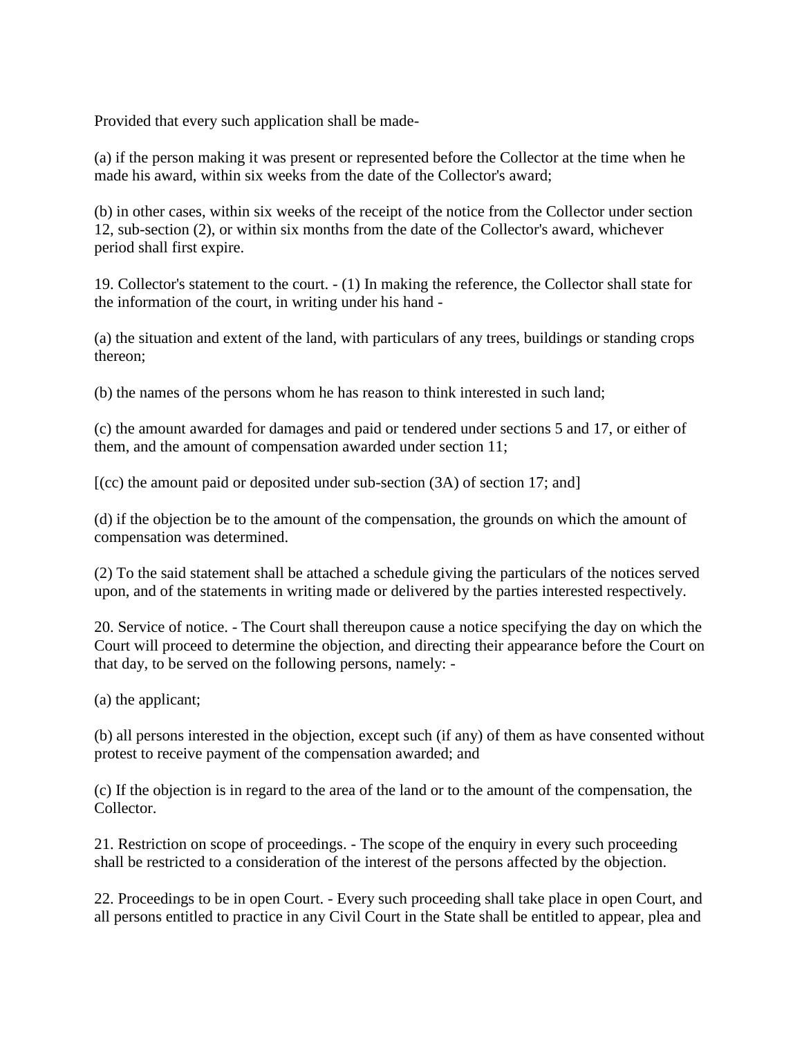Provided that every such application shall be made-

(a) if the person making it was present or represented before the Collector at the time when he made his award, within six weeks from the date of the Collector's award;

(b) in other cases, within six weeks of the receipt of the notice from the Collector under section 12, sub-section (2), or within six months from the date of the Collector's award, whichever period shall first expire.

19. Collector's statement to the court. - (1) In making the reference, the Collector shall state for the information of the court, in writing under his hand -

(a) the situation and extent of the land, with particulars of any trees, buildings or standing crops thereon;

(b) the names of the persons whom he has reason to think interested in such land;

(c) the amount awarded for damages and paid or tendered under sections 5 and 17, or either of them, and the amount of compensation awarded under section 11;

 $[CC]$  the amount paid or deposited under sub-section  $(3A)$  of section 17; and

(d) if the objection be to the amount of the compensation, the grounds on which the amount of compensation was determined.

(2) To the said statement shall be attached a schedule giving the particulars of the notices served upon, and of the statements in writing made or delivered by the parties interested respectively.

20. Service of notice. - The Court shall thereupon cause a notice specifying the day on which the Court will proceed to determine the objection, and directing their appearance before the Court on that day, to be served on the following persons, namely: -

(a) the applicant;

(b) all persons interested in the objection, except such (if any) of them as have consented without protest to receive payment of the compensation awarded; and

(c) If the objection is in regard to the area of the land or to the amount of the compensation, the Collector.

21. Restriction on scope of proceedings. - The scope of the enquiry in every such proceeding shall be restricted to a consideration of the interest of the persons affected by the objection.

22. Proceedings to be in open Court. - Every such proceeding shall take place in open Court, and all persons entitled to practice in any Civil Court in the State shall be entitled to appear, plea and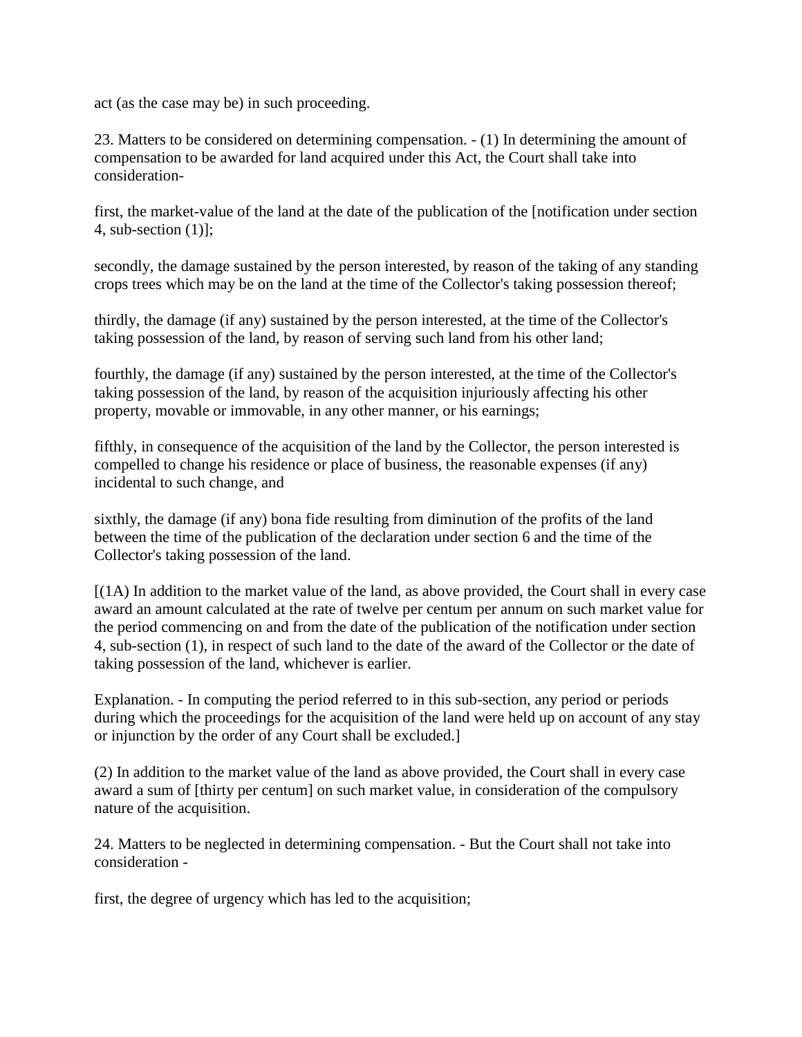act (as the case may be) in such proceeding.

23. Matters to be considered on determining compensation. - (1) In determining the amount of compensation to be awarded for land acquired under this Act, the Court shall take into consideration-

first, the market-value of the land at the date of the publication of the [notification under section 4, sub-section (1)];

secondly, the damage sustained by the person interested, by reason of the taking of any standing crops trees which may be on the land at the time of the Collector's taking possession thereof;

thirdly, the damage (if any) sustained by the person interested, at the time of the Collector's taking possession of the land, by reason of serving such land from his other land;

fourthly, the damage (if any) sustained by the person interested, at the time of the Collector's taking possession of the land, by reason of the acquisition injuriously affecting his other property, movable or immovable, in any other manner, or his earnings;

fifthly, in consequence of the acquisition of the land by the Collector, the person interested is compelled to change his residence or place of business, the reasonable expenses (if any) incidental to such change, and

sixthly, the damage (if any) bona fide resulting from diminution of the profits of the land between the time of the publication of the declaration under section 6 and the time of the Collector's taking possession of the land.

[(1A) In addition to the market value of the land, as above provided, the Court shall in every case award an amount calculated at the rate of twelve per centum per annum on such market value for the period commencing on and from the date of the publication of the notification under section 4, sub-section (1), in respect of such land to the date of the award of the Collector or the date of taking possession of the land, whichever is earlier.

Explanation. - In computing the period referred to in this sub-section, any period or periods during which the proceedings for the acquisition of the land were held up on account of any stay or injunction by the order of any Court shall be excluded.]

(2) In addition to the market value of the land as above provided, the Court shall in every case award a sum of [thirty per centum] on such market value, in consideration of the compulsory nature of the acquisition.

24. Matters to be neglected in determining compensation. - But the Court shall not take into consideration -

first, the degree of urgency which has led to the acquisition;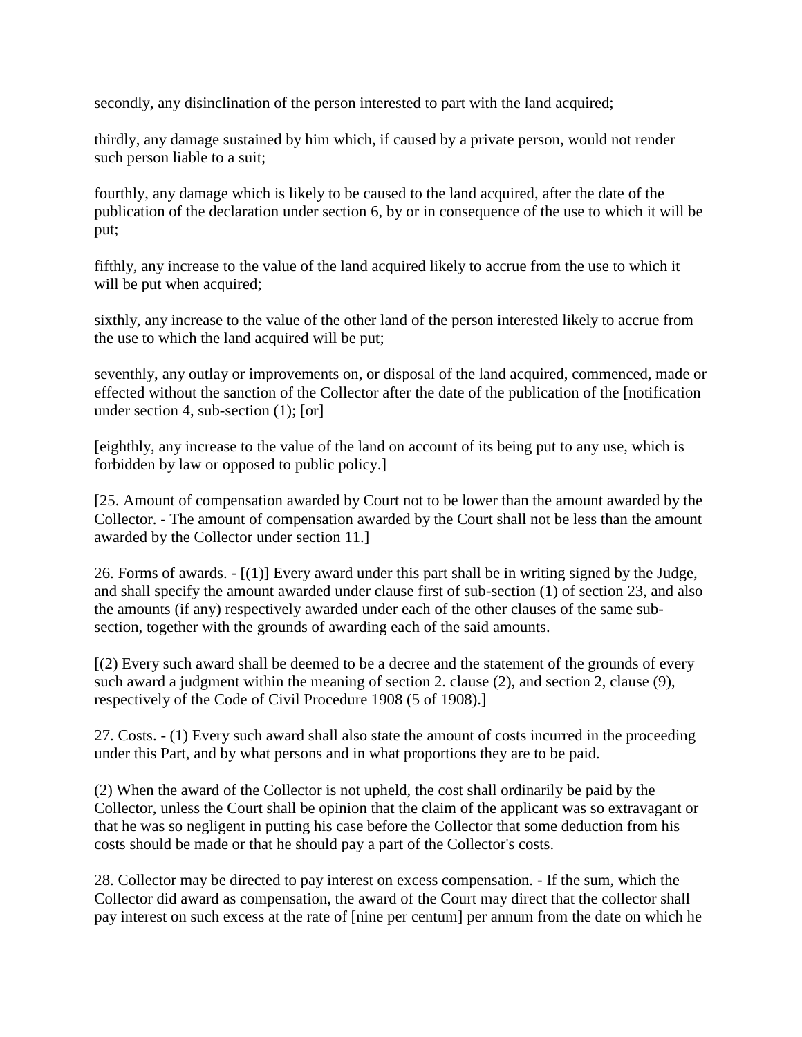secondly, any disinclination of the person interested to part with the land acquired;

thirdly, any damage sustained by him which, if caused by a private person, would not render such person liable to a suit;

fourthly, any damage which is likely to be caused to the land acquired, after the date of the publication of the declaration under section 6, by or in consequence of the use to which it will be put;

fifthly, any increase to the value of the land acquired likely to accrue from the use to which it will be put when acquired;

sixthly, any increase to the value of the other land of the person interested likely to accrue from the use to which the land acquired will be put;

seventhly, any outlay or improvements on, or disposal of the land acquired, commenced, made or effected without the sanction of the Collector after the date of the publication of the [notification under section 4, sub-section (1); [or]

[eighthly, any increase to the value of the land on account of its being put to any use, which is forbidden by law or opposed to public policy.]

[25. Amount of compensation awarded by Court not to be lower than the amount awarded by the Collector. - The amount of compensation awarded by the Court shall not be less than the amount awarded by the Collector under section 11.]

26. Forms of awards. - [(1)] Every award under this part shall be in writing signed by the Judge, and shall specify the amount awarded under clause first of sub-section (1) of section 23, and also the amounts (if any) respectively awarded under each of the other clauses of the same subsection, together with the grounds of awarding each of the said amounts.

[(2) Every such award shall be deemed to be a decree and the statement of the grounds of every such award a judgment within the meaning of section 2. clause (2), and section 2, clause (9), respectively of the Code of Civil Procedure 1908 (5 of 1908).]

27. Costs. - (1) Every such award shall also state the amount of costs incurred in the proceeding under this Part, and by what persons and in what proportions they are to be paid.

(2) When the award of the Collector is not upheld, the cost shall ordinarily be paid by the Collector, unless the Court shall be opinion that the claim of the applicant was so extravagant or that he was so negligent in putting his case before the Collector that some deduction from his costs should be made or that he should pay a part of the Collector's costs.

28. Collector may be directed to pay interest on excess compensation. - If the sum, which the Collector did award as compensation, the award of the Court may direct that the collector shall pay interest on such excess at the rate of [nine per centum] per annum from the date on which he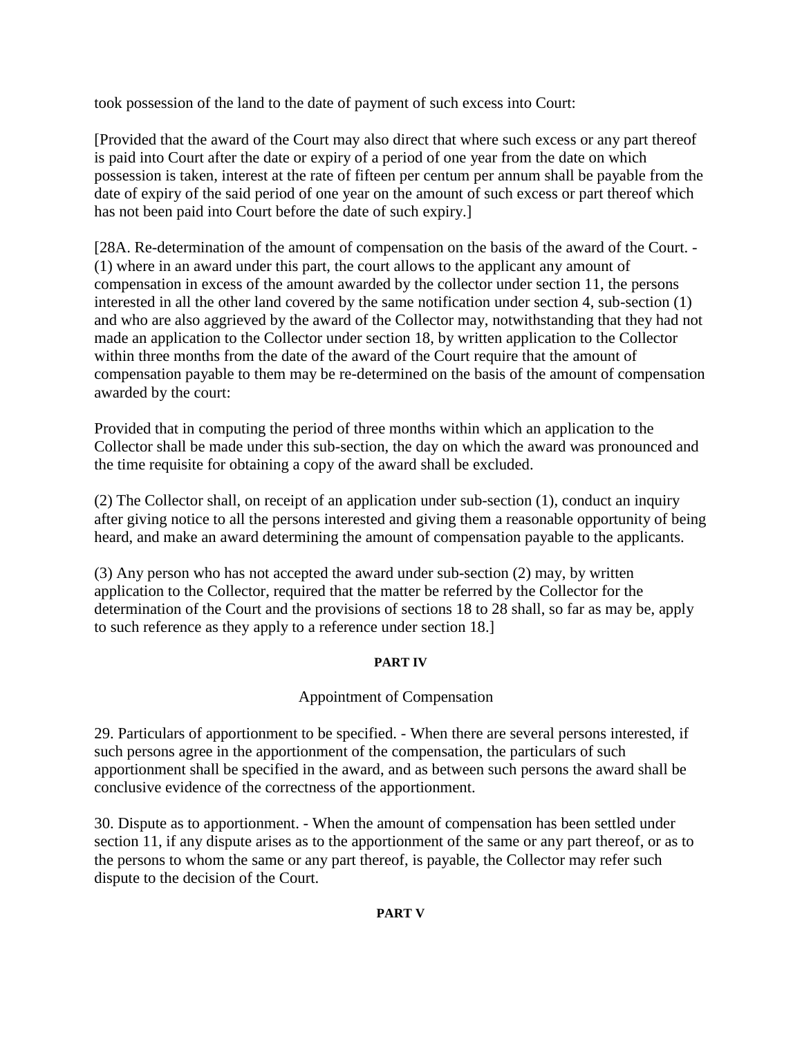took possession of the land to the date of payment of such excess into Court:

[Provided that the award of the Court may also direct that where such excess or any part thereof is paid into Court after the date or expiry of a period of one year from the date on which possession is taken, interest at the rate of fifteen per centum per annum shall be payable from the date of expiry of the said period of one year on the amount of such excess or part thereof which has not been paid into Court before the date of such expiry.]

[28A. Re-determination of the amount of compensation on the basis of the award of the Court. - (1) where in an award under this part, the court allows to the applicant any amount of compensation in excess of the amount awarded by the collector under section 11, the persons interested in all the other land covered by the same notification under section 4, sub-section (1) and who are also aggrieved by the award of the Collector may, notwithstanding that they had not made an application to the Collector under section 18, by written application to the Collector within three months from the date of the award of the Court require that the amount of compensation payable to them may be re-determined on the basis of the amount of compensation awarded by the court:

Provided that in computing the period of three months within which an application to the Collector shall be made under this sub-section, the day on which the award was pronounced and the time requisite for obtaining a copy of the award shall be excluded.

(2) The Collector shall, on receipt of an application under sub-section (1), conduct an inquiry after giving notice to all the persons interested and giving them a reasonable opportunity of being heard, and make an award determining the amount of compensation payable to the applicants.

(3) Any person who has not accepted the award under sub-section (2) may, by written application to the Collector, required that the matter be referred by the Collector for the determination of the Court and the provisions of sections 18 to 28 shall, so far as may be, apply to such reference as they apply to a reference under section 18.]

# **PART IV**

# Appointment of Compensation

29. Particulars of apportionment to be specified. - When there are several persons interested, if such persons agree in the apportionment of the compensation, the particulars of such apportionment shall be specified in the award, and as between such persons the award shall be conclusive evidence of the correctness of the apportionment.

30. Dispute as to apportionment. - When the amount of compensation has been settled under section 11, if any dispute arises as to the apportionment of the same or any part thereof, or as to the persons to whom the same or any part thereof, is payable, the Collector may refer such dispute to the decision of the Court.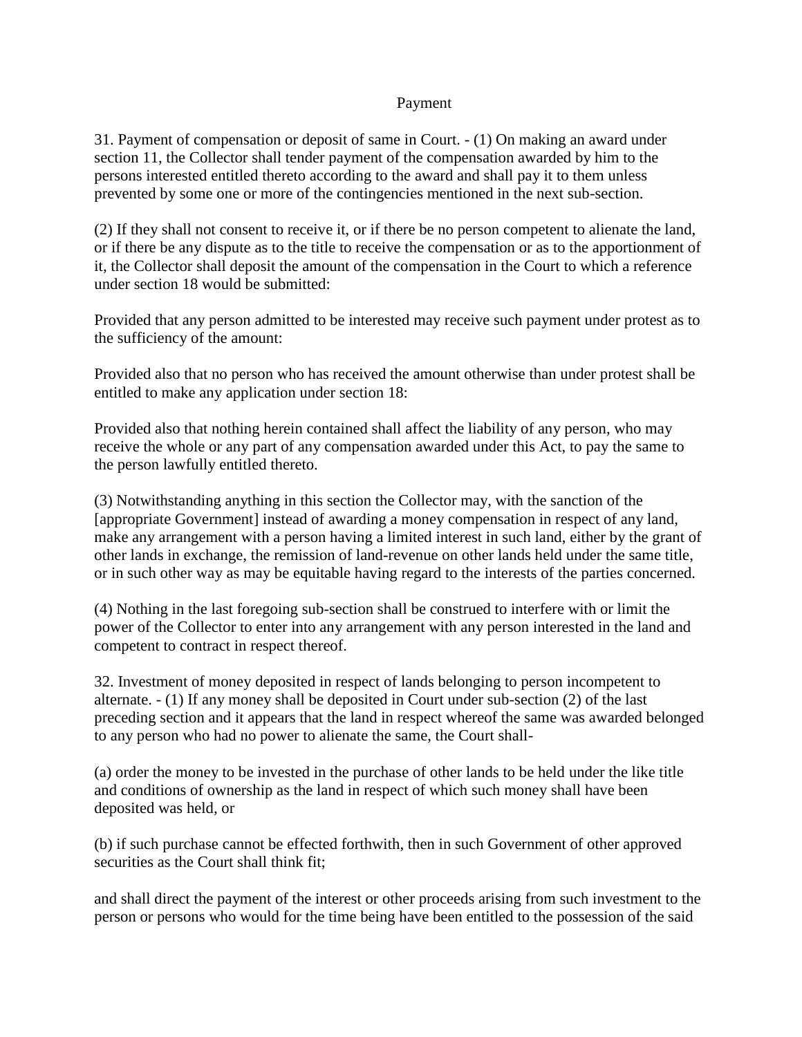# Payment

31. Payment of compensation or deposit of same in Court. - (1) On making an award under section 11, the Collector shall tender payment of the compensation awarded by him to the persons interested entitled thereto according to the award and shall pay it to them unless prevented by some one or more of the contingencies mentioned in the next sub-section.

(2) If they shall not consent to receive it, or if there be no person competent to alienate the land, or if there be any dispute as to the title to receive the compensation or as to the apportionment of it, the Collector shall deposit the amount of the compensation in the Court to which a reference under section 18 would be submitted:

Provided that any person admitted to be interested may receive such payment under protest as to the sufficiency of the amount:

Provided also that no person who has received the amount otherwise than under protest shall be entitled to make any application under section 18:

Provided also that nothing herein contained shall affect the liability of any person, who may receive the whole or any part of any compensation awarded under this Act, to pay the same to the person lawfully entitled thereto.

(3) Notwithstanding anything in this section the Collector may, with the sanction of the [appropriate Government] instead of awarding a money compensation in respect of any land, make any arrangement with a person having a limited interest in such land, either by the grant of other lands in exchange, the remission of land-revenue on other lands held under the same title, or in such other way as may be equitable having regard to the interests of the parties concerned.

(4) Nothing in the last foregoing sub-section shall be construed to interfere with or limit the power of the Collector to enter into any arrangement with any person interested in the land and competent to contract in respect thereof.

32. Investment of money deposited in respect of lands belonging to person incompetent to alternate. - (1) If any money shall be deposited in Court under sub-section (2) of the last preceding section and it appears that the land in respect whereof the same was awarded belonged to any person who had no power to alienate the same, the Court shall-

(a) order the money to be invested in the purchase of other lands to be held under the like title and conditions of ownership as the land in respect of which such money shall have been deposited was held, or

(b) if such purchase cannot be effected forthwith, then in such Government of other approved securities as the Court shall think fit:

and shall direct the payment of the interest or other proceeds arising from such investment to the person or persons who would for the time being have been entitled to the possession of the said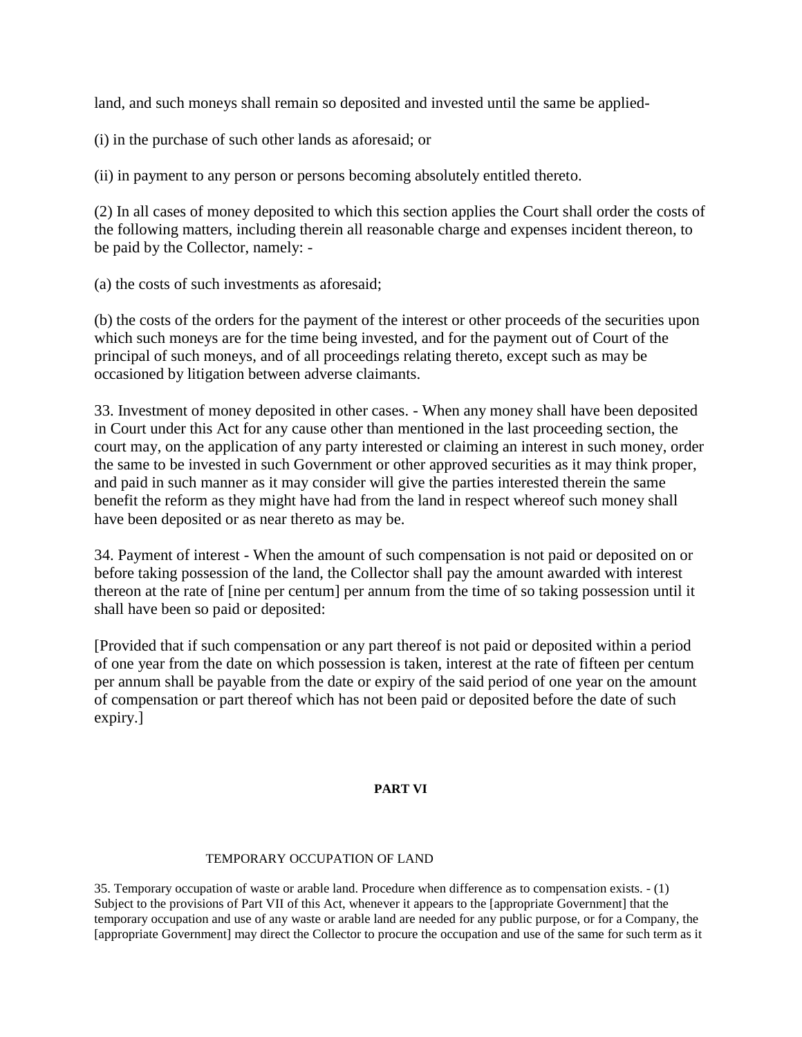land, and such moneys shall remain so deposited and invested until the same be applied-

(i) in the purchase of such other lands as aforesaid; or

(ii) in payment to any person or persons becoming absolutely entitled thereto.

(2) In all cases of money deposited to which this section applies the Court shall order the costs of the following matters, including therein all reasonable charge and expenses incident thereon, to be paid by the Collector, namely: -

(a) the costs of such investments as aforesaid;

(b) the costs of the orders for the payment of the interest or other proceeds of the securities upon which such moneys are for the time being invested, and for the payment out of Court of the principal of such moneys, and of all proceedings relating thereto, except such as may be occasioned by litigation between adverse claimants.

33. Investment of money deposited in other cases. - When any money shall have been deposited in Court under this Act for any cause other than mentioned in the last proceeding section, the court may, on the application of any party interested or claiming an interest in such money, order the same to be invested in such Government or other approved securities as it may think proper, and paid in such manner as it may consider will give the parties interested therein the same benefit the reform as they might have had from the land in respect whereof such money shall have been deposited or as near thereto as may be.

34. Payment of interest - When the amount of such compensation is not paid or deposited on or before taking possession of the land, the Collector shall pay the amount awarded with interest thereon at the rate of [nine per centum] per annum from the time of so taking possession until it shall have been so paid or deposited:

[Provided that if such compensation or any part thereof is not paid or deposited within a period of one year from the date on which possession is taken, interest at the rate of fifteen per centum per annum shall be payable from the date or expiry of the said period of one year on the amount of compensation or part thereof which has not been paid or deposited before the date of such expiry.]

# **PART VI**

### TEMPORARY OCCUPATION OF LAND

35. Temporary occupation of waste or arable land. Procedure when difference as to compensation exists. - (1) Subject to the provisions of Part VII of this Act, whenever it appears to the [appropriate Government] that the temporary occupation and use of any waste or arable land are needed for any public purpose, or for a Company, the [appropriate Government] may direct the Collector to procure the occupation and use of the same for such term as it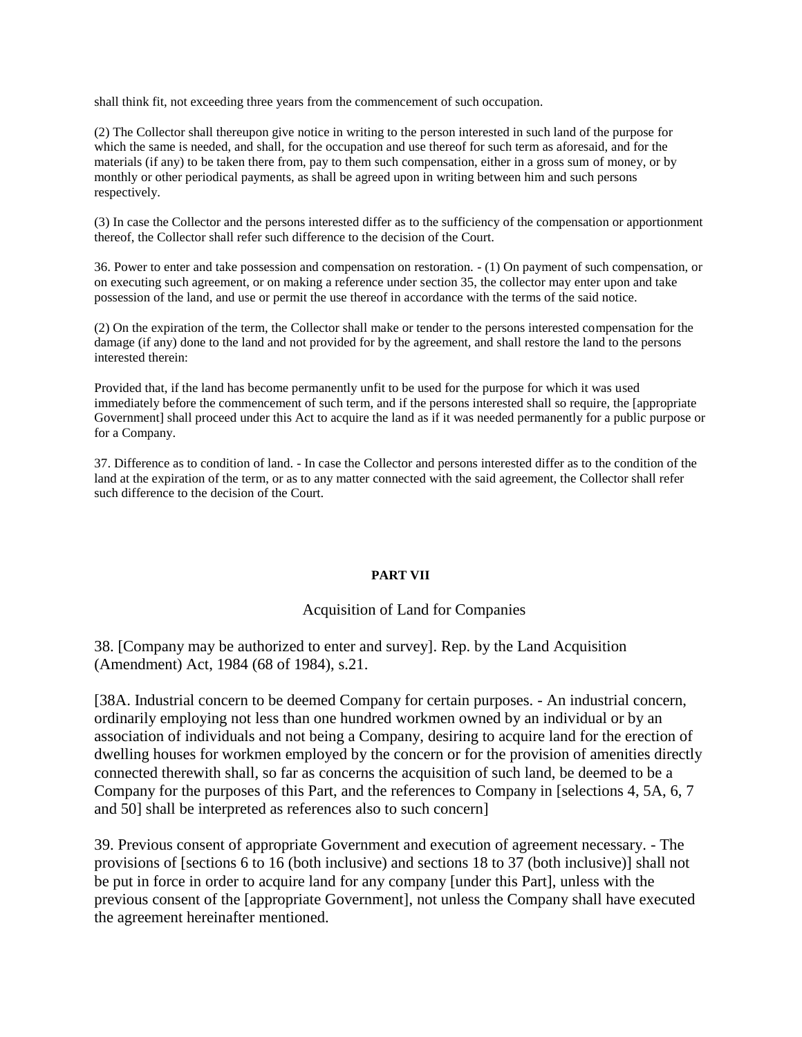shall think fit, not exceeding three years from the commencement of such occupation.

(2) The Collector shall thereupon give notice in writing to the person interested in such land of the purpose for which the same is needed, and shall, for the occupation and use thereof for such term as aforesaid, and for the materials (if any) to be taken there from, pay to them such compensation, either in a gross sum of money, or by monthly or other periodical payments, as shall be agreed upon in writing between him and such persons respectively.

(3) In case the Collector and the persons interested differ as to the sufficiency of the compensation or apportionment thereof, the Collector shall refer such difference to the decision of the Court.

36. Power to enter and take possession and compensation on restoration. - (1) On payment of such compensation, or on executing such agreement, or on making a reference under section 35, the collector may enter upon and take possession of the land, and use or permit the use thereof in accordance with the terms of the said notice.

(2) On the expiration of the term, the Collector shall make or tender to the persons interested compensation for the damage (if any) done to the land and not provided for by the agreement, and shall restore the land to the persons interested therein:

Provided that, if the land has become permanently unfit to be used for the purpose for which it was used immediately before the commencement of such term, and if the persons interested shall so require, the [appropriate Government] shall proceed under this Act to acquire the land as if it was needed permanently for a public purpose or for a Company.

37. Difference as to condition of land. - In case the Collector and persons interested differ as to the condition of the land at the expiration of the term, or as to any matter connected with the said agreement, the Collector shall refer such difference to the decision of the Court.

### **PART VII**

## Acquisition of Land for Companies

38. [Company may be authorized to enter and survey]. Rep. by the Land Acquisition (Amendment) Act, 1984 (68 of 1984), s.21.

[38A. Industrial concern to be deemed Company for certain purposes. - An industrial concern, ordinarily employing not less than one hundred workmen owned by an individual or by an association of individuals and not being a Company, desiring to acquire land for the erection of dwelling houses for workmen employed by the concern or for the provision of amenities directly connected therewith shall, so far as concerns the acquisition of such land, be deemed to be a Company for the purposes of this Part, and the references to Company in [selections 4, 5A, 6, 7 and 50] shall be interpreted as references also to such concern]

39. Previous consent of appropriate Government and execution of agreement necessary. - The provisions of [sections 6 to 16 (both inclusive) and sections 18 to 37 (both inclusive)] shall not be put in force in order to acquire land for any company [under this Part], unless with the previous consent of the [appropriate Government], not unless the Company shall have executed the agreement hereinafter mentioned.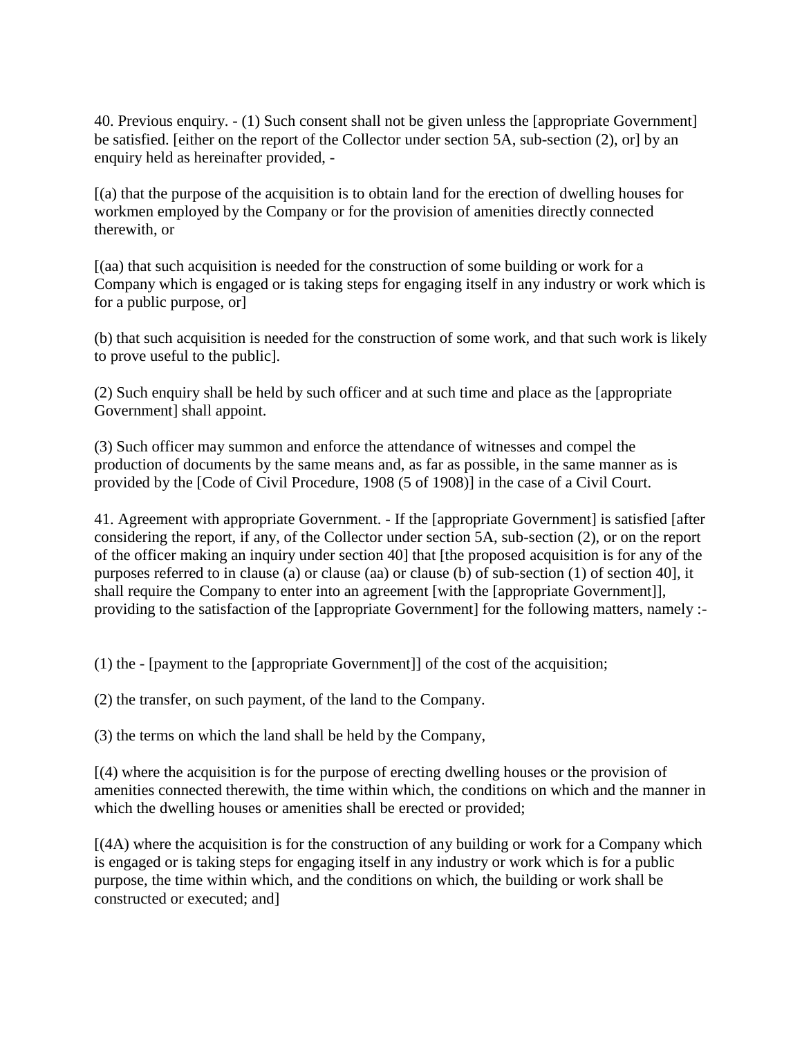40. Previous enquiry. - (1) Such consent shall not be given unless the [appropriate Government] be satisfied. [either on the report of the Collector under section 5A, sub-section (2), or] by an enquiry held as hereinafter provided, -

[(a) that the purpose of the acquisition is to obtain land for the erection of dwelling houses for workmen employed by the Company or for the provision of amenities directly connected therewith, or

[(aa) that such acquisition is needed for the construction of some building or work for a Company which is engaged or is taking steps for engaging itself in any industry or work which is for a public purpose, or]

(b) that such acquisition is needed for the construction of some work, and that such work is likely to prove useful to the public].

(2) Such enquiry shall be held by such officer and at such time and place as the [appropriate Government] shall appoint.

(3) Such officer may summon and enforce the attendance of witnesses and compel the production of documents by the same means and, as far as possible, in the same manner as is provided by the [Code of Civil Procedure, 1908 (5 of 1908)] in the case of a Civil Court.

41. Agreement with appropriate Government. - If the [appropriate Government] is satisfied [after considering the report, if any, of the Collector under section 5A, sub-section (2), or on the report of the officer making an inquiry under section 40] that [the proposed acquisition is for any of the purposes referred to in clause (a) or clause (aa) or clause (b) of sub-section (1) of section 40], it shall require the Company to enter into an agreement [with the [appropriate Government]], providing to the satisfaction of the [appropriate Government] for the following matters, namely :-

(1) the - [payment to the [appropriate Government]] of the cost of the acquisition;

(2) the transfer, on such payment, of the land to the Company.

(3) the terms on which the land shall be held by the Company,

[(4) where the acquisition is for the purpose of erecting dwelling houses or the provision of amenities connected therewith, the time within which, the conditions on which and the manner in which the dwelling houses or amenities shall be erected or provided;

[(4A) where the acquisition is for the construction of any building or work for a Company which is engaged or is taking steps for engaging itself in any industry or work which is for a public purpose, the time within which, and the conditions on which, the building or work shall be constructed or executed; and]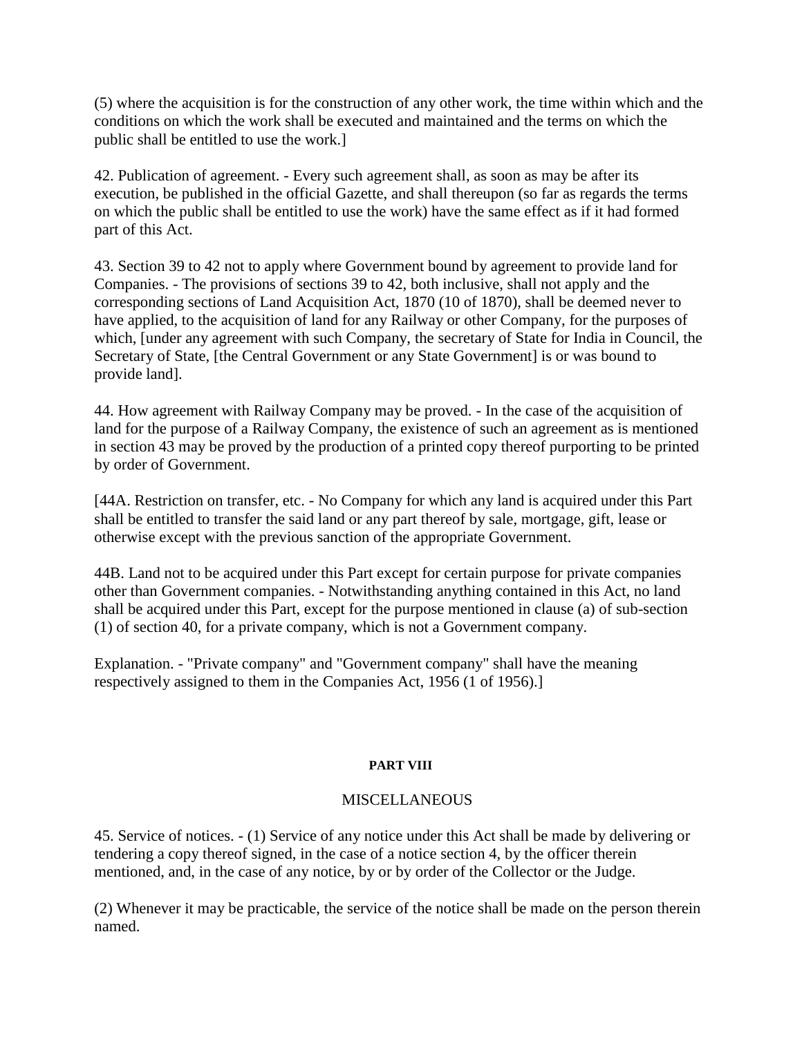(5) where the acquisition is for the construction of any other work, the time within which and the conditions on which the work shall be executed and maintained and the terms on which the public shall be entitled to use the work.]

42. Publication of agreement. - Every such agreement shall, as soon as may be after its execution, be published in the official Gazette, and shall thereupon (so far as regards the terms on which the public shall be entitled to use the work) have the same effect as if it had formed part of this Act.

43. Section 39 to 42 not to apply where Government bound by agreement to provide land for Companies. - The provisions of sections 39 to 42, both inclusive, shall not apply and the corresponding sections of Land Acquisition Act, 1870 (10 of 1870), shall be deemed never to have applied, to the acquisition of land for any Railway or other Company, for the purposes of which, [under any agreement with such Company, the secretary of State for India in Council, the Secretary of State, [the Central Government or any State Government] is or was bound to provide land].

44. How agreement with Railway Company may be proved. - In the case of the acquisition of land for the purpose of a Railway Company, the existence of such an agreement as is mentioned in section 43 may be proved by the production of a printed copy thereof purporting to be printed by order of Government.

[44A. Restriction on transfer, etc. - No Company for which any land is acquired under this Part shall be entitled to transfer the said land or any part thereof by sale, mortgage, gift, lease or otherwise except with the previous sanction of the appropriate Government.

44B. Land not to be acquired under this Part except for certain purpose for private companies other than Government companies. - Notwithstanding anything contained in this Act, no land shall be acquired under this Part, except for the purpose mentioned in clause (a) of sub-section (1) of section 40, for a private company, which is not a Government company.

Explanation. - "Private company" and "Government company" shall have the meaning respectively assigned to them in the Companies Act, 1956 (1 of 1956).]

# **PART VIII**

# **MISCELLANEOUS**

45. Service of notices. - (1) Service of any notice under this Act shall be made by delivering or tendering a copy thereof signed, in the case of a notice section 4, by the officer therein mentioned, and, in the case of any notice, by or by order of the Collector or the Judge.

(2) Whenever it may be practicable, the service of the notice shall be made on the person therein named.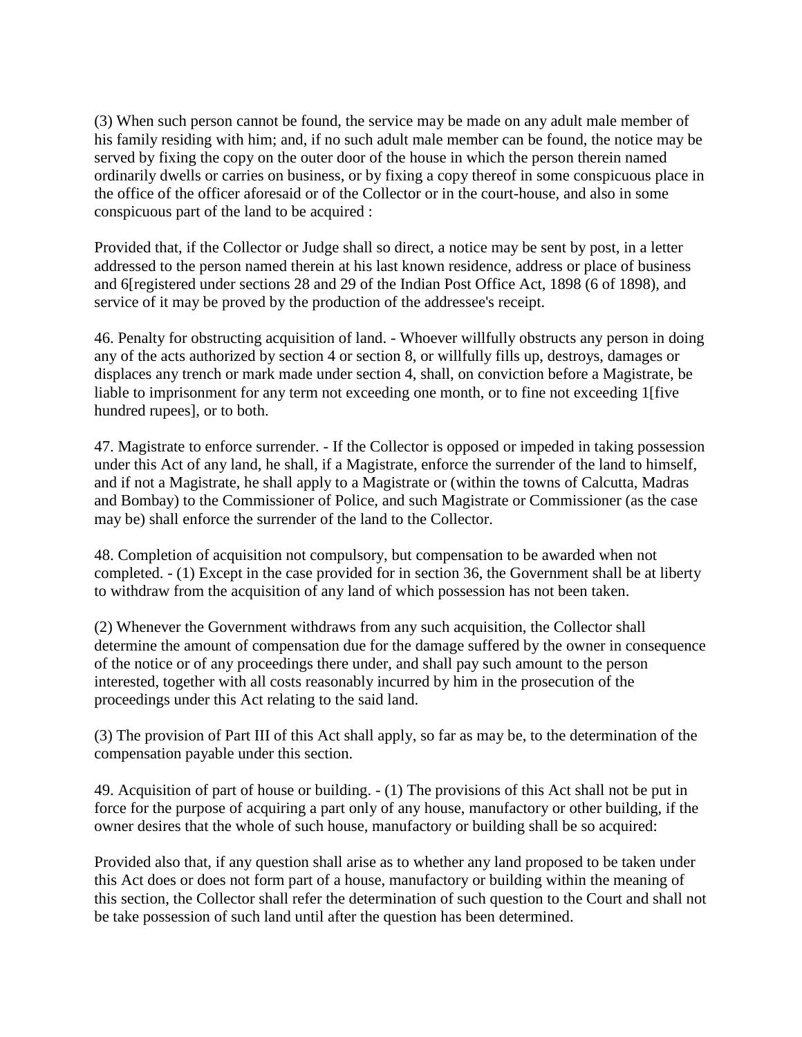(3) When such person cannot be found, the service may be made on any adult male member of his family residing with him; and, if no such adult male member can be found, the notice may be served by fixing the copy on the outer door of the house in which the person therein named ordinarily dwells or carries on business, or by fixing a copy thereof in some conspicuous place in the office of the officer aforesaid or of the Collector or in the court-house, and also in some conspicuous part of the land to be acquired :

Provided that, if the Collector or Judge shall so direct, a notice may be sent by post, in a letter addressed to the person named therein at his last known residence, address or place of business and 6[registered under sections 28 and 29 of the Indian Post Office Act, 1898 (6 of 1898), and service of it may be proved by the production of the addressee's receipt.

46. Penalty for obstructing acquisition of land. - Whoever willfully obstructs any person in doing any of the acts authorized by section 4 or section 8, or willfully fills up, destroys, damages or displaces any trench or mark made under section 4, shall, on conviction before a Magistrate, be liable to imprisonment for any term not exceeding one month, or to fine not exceeding 1 [five hundred rupees], or to both.

47. Magistrate to enforce surrender. - If the Collector is opposed or impeded in taking possession under this Act of any land, he shall, if a Magistrate, enforce the surrender of the land to himself, and if not a Magistrate, he shall apply to a Magistrate or (within the towns of Calcutta, Madras and Bombay) to the Commissioner of Police, and such Magistrate or Commissioner (as the case may be) shall enforce the surrender of the land to the Collector.

48. Completion of acquisition not compulsory, but compensation to be awarded when not completed. - (1) Except in the case provided for in section 36, the Government shall be at liberty to withdraw from the acquisition of any land of which possession has not been taken.

(2) Whenever the Government withdraws from any such acquisition, the Collector shall determine the amount of compensation due for the damage suffered by the owner in consequence of the notice or of any proceedings there under, and shall pay such amount to the person interested, together with all costs reasonably incurred by him in the prosecution of the proceedings under this Act relating to the said land.

(3) The provision of Part III of this Act shall apply, so far as may be, to the determination of the compensation payable under this section.

49. Acquisition of part of house or building. - (1) The provisions of this Act shall not be put in force for the purpose of acquiring a part only of any house, manufactory or other building, if the owner desires that the whole of such house, manufactory or building shall be so acquired:

Provided also that, if any question shall arise as to whether any land proposed to be taken under this Act does or does not form part of a house, manufactory or building within the meaning of this section, the Collector shall refer the determination of such question to the Court and shall not be take possession of such land until after the question has been determined.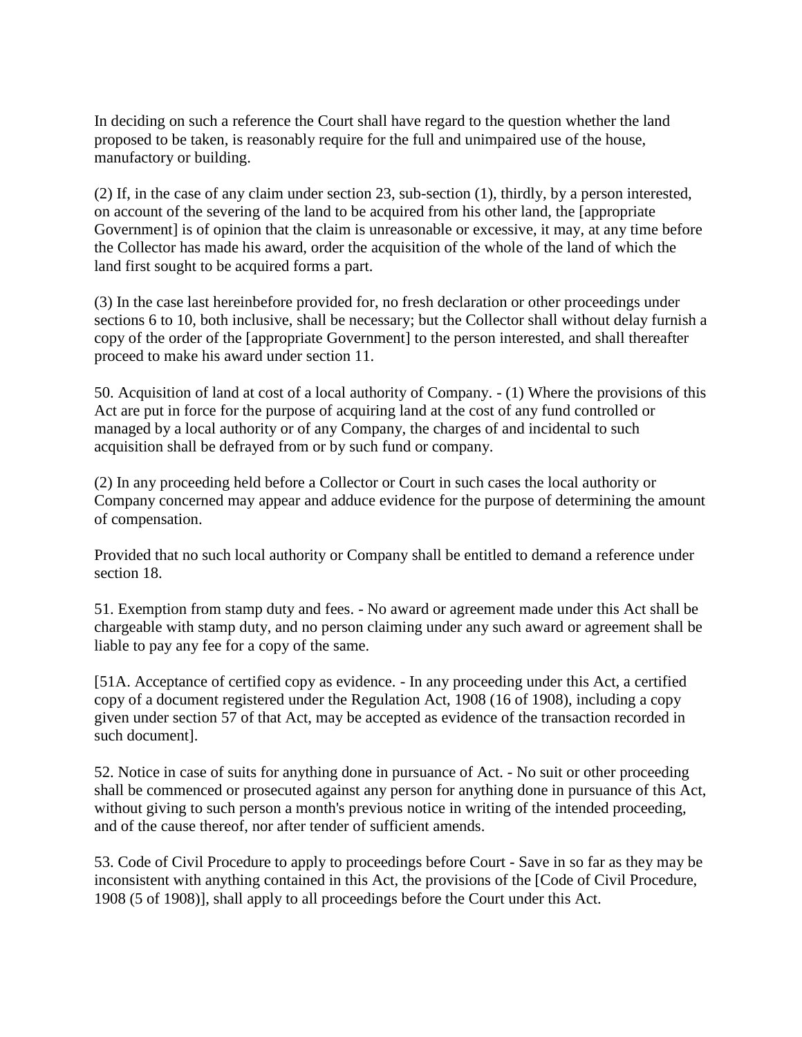In deciding on such a reference the Court shall have regard to the question whether the land proposed to be taken, is reasonably require for the full and unimpaired use of the house, manufactory or building.

(2) If, in the case of any claim under section 23, sub-section (1), thirdly, by a person interested, on account of the severing of the land to be acquired from his other land, the [appropriate Government] is of opinion that the claim is unreasonable or excessive, it may, at any time before the Collector has made his award, order the acquisition of the whole of the land of which the land first sought to be acquired forms a part.

(3) In the case last hereinbefore provided for, no fresh declaration or other proceedings under sections 6 to 10, both inclusive, shall be necessary; but the Collector shall without delay furnish a copy of the order of the [appropriate Government] to the person interested, and shall thereafter proceed to make his award under section 11.

50. Acquisition of land at cost of a local authority of Company. - (1) Where the provisions of this Act are put in force for the purpose of acquiring land at the cost of any fund controlled or managed by a local authority or of any Company, the charges of and incidental to such acquisition shall be defrayed from or by such fund or company.

(2) In any proceeding held before a Collector or Court in such cases the local authority or Company concerned may appear and adduce evidence for the purpose of determining the amount of compensation.

Provided that no such local authority or Company shall be entitled to demand a reference under section 18.

51. Exemption from stamp duty and fees. - No award or agreement made under this Act shall be chargeable with stamp duty, and no person claiming under any such award or agreement shall be liable to pay any fee for a copy of the same.

[51A. Acceptance of certified copy as evidence. - In any proceeding under this Act, a certified copy of a document registered under the Regulation Act, 1908 (16 of 1908), including a copy given under section 57 of that Act, may be accepted as evidence of the transaction recorded in such document].

52. Notice in case of suits for anything done in pursuance of Act. - No suit or other proceeding shall be commenced or prosecuted against any person for anything done in pursuance of this Act, without giving to such person a month's previous notice in writing of the intended proceeding, and of the cause thereof, nor after tender of sufficient amends.

53. Code of Civil Procedure to apply to proceedings before Court - Save in so far as they may be inconsistent with anything contained in this Act, the provisions of the [Code of Civil Procedure, 1908 (5 of 1908)], shall apply to all proceedings before the Court under this Act.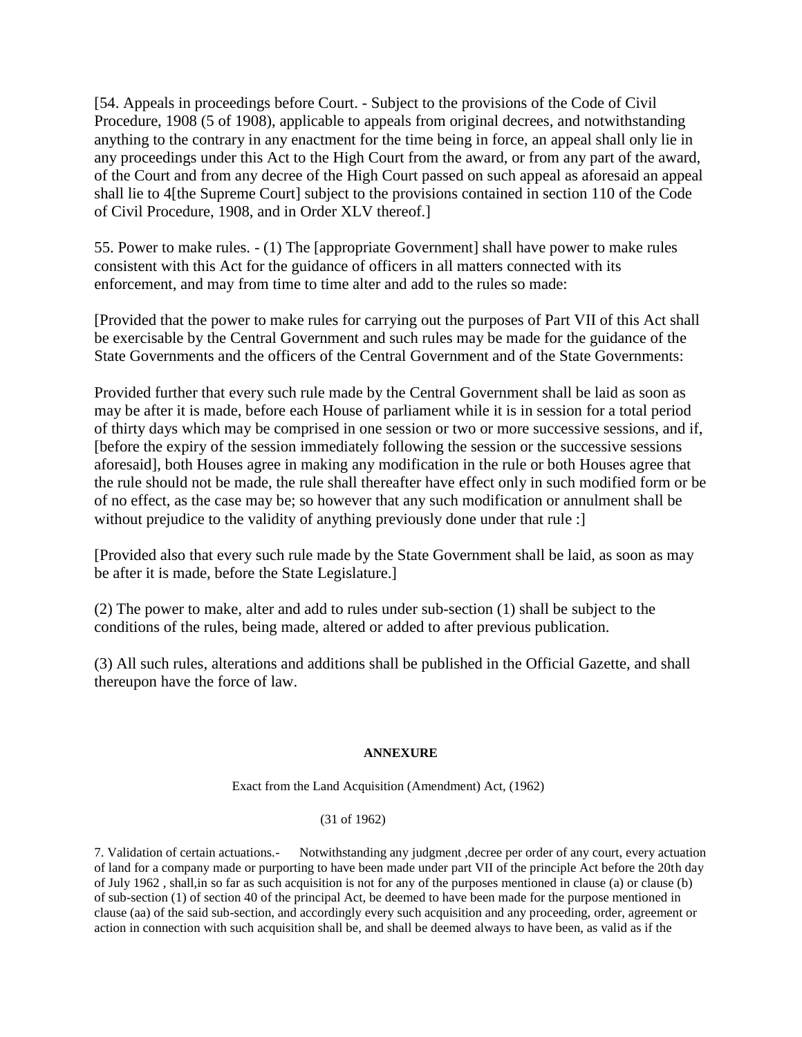[54. Appeals in proceedings before Court. - Subject to the provisions of the Code of Civil Procedure, 1908 (5 of 1908), applicable to appeals from original decrees, and notwithstanding anything to the contrary in any enactment for the time being in force, an appeal shall only lie in any proceedings under this Act to the High Court from the award, or from any part of the award, of the Court and from any decree of the High Court passed on such appeal as aforesaid an appeal shall lie to 4[the Supreme Court] subject to the provisions contained in section 110 of the Code of Civil Procedure, 1908, and in Order XLV thereof.]

55. Power to make rules. - (1) The [appropriate Government] shall have power to make rules consistent with this Act for the guidance of officers in all matters connected with its enforcement, and may from time to time alter and add to the rules so made:

[Provided that the power to make rules for carrying out the purposes of Part VII of this Act shall be exercisable by the Central Government and such rules may be made for the guidance of the State Governments and the officers of the Central Government and of the State Governments:

Provided further that every such rule made by the Central Government shall be laid as soon as may be after it is made, before each House of parliament while it is in session for a total period of thirty days which may be comprised in one session or two or more successive sessions, and if, [before the expiry of the session immediately following the session or the successive sessions aforesaid], both Houses agree in making any modification in the rule or both Houses agree that the rule should not be made, the rule shall thereafter have effect only in such modified form or be of no effect, as the case may be; so however that any such modification or annulment shall be without prejudice to the validity of anything previously done under that rule :

[Provided also that every such rule made by the State Government shall be laid, as soon as may be after it is made, before the State Legislature.]

(2) The power to make, alter and add to rules under sub-section (1) shall be subject to the conditions of the rules, being made, altered or added to after previous publication.

(3) All such rules, alterations and additions shall be published in the Official Gazette, and shall thereupon have the force of law.

## **ANNEXURE**

Exact from the Land Acquisition (Amendment) Act, (1962)

## (31 of 1962)

7. Validation of certain actuations.- Notwithstanding any judgment ,decree per order of any court, every actuation of land for a company made or purporting to have been made under part VII of the principle Act before the 20th day of July 1962 , shall,in so far as such acquisition is not for any of the purposes mentioned in clause (a) or clause (b) of sub-section (1) of section 40 of the principal Act, be deemed to have been made for the purpose mentioned in clause (aa) of the said sub-section, and accordingly every such acquisition and any proceeding, order, agreement or action in connection with such acquisition shall be, and shall be deemed always to have been, as valid as if the